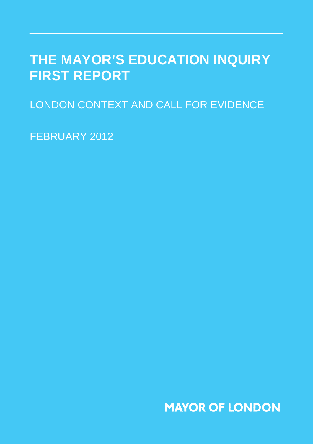### **THE MAYOR'S EDUCATION INQUIRY FIRST REPORT**

LONDON CONTEXT AND CALL FOR EVIDENCE

FEBRUARY 2012

**MAYOR OF LONDON**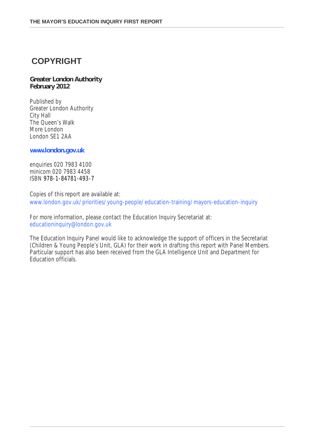### **COPYRIGHT**

#### **Greater London Authority February 2012**

Published by Greater London Authority City Hall The Queen's Walk More London London SE1 2AA

**www.london.gov.uk**

enquiries 020 7983 4100 minicom 020 7983 4458 ISBN 978-1-84781-493-7

Copies of this report are available at: www.london.gov.uk/priorities/young-people/education-training/mayors-education-inquiry

For more information, please contact the Education Inquiry Secretariat at: educationinquiry@london.gov.uk

The Education Inquiry Panel would like to acknowledge the support of officers in the Secretariat (Children & Young People's Unit, GLA) for their work in drafting this report with Panel Members. Particular support has also been received from the GLA Intelligence Unit and Department for Education officials.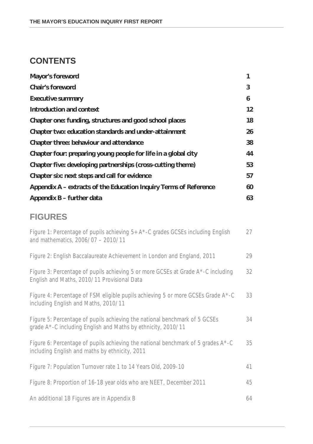### **CONTENTS**

| <b>Mayor's foreword</b>                                           | 1                 |
|-------------------------------------------------------------------|-------------------|
| <b>Chair's foreword</b>                                           | $\overline{3}$    |
| <b>Executive summary</b>                                          | 6                 |
| Introduction and context                                          | $12 \overline{ }$ |
| Chapter one: funding, structures and good school places           | 18                |
| Chapter two: education standards and under-attainment             | 26                |
| <b>Chapter three: behaviour and attendance</b>                    | 38                |
| Chapter four: preparing young people for life in a global city    | 44                |
| Chapter five: developing partnerships (cross-cutting theme)       | 53                |
| Chapter six: next steps and call for evidence                     | 57                |
| Appendix A – extracts of the Education Inquiry Terms of Reference | 60                |
| Appendix B - further data                                         | 63                |
|                                                                   |                   |
| <b>FIGURES</b>                                                    |                   |
|                                                                   |                   |

| Figure 1: Percentage of pupils achieving $5+ A^*$ -C grades GCSEs including English<br>and mathematics, 2006/07 - 2010/11                  | 27 |
|--------------------------------------------------------------------------------------------------------------------------------------------|----|
| Figure 2: English Baccalaureate Achievement in London and England, 2011                                                                    | 29 |
| Figure 3: Percentage of pupils achieving 5 or more GCSEs at Grade A*-C including<br>English and Maths, 2010/11 Provisional Data            | 32 |
| Figure 4: Percentage of FSM eligible pupils achieving 5 or more GCSEs Grade A*-C<br>including English and Maths, 2010/11                   | 33 |
| Figure 5: Percentage of pupils achieving the national benchmark of 5 GCSEs<br>grade A*-C including English and Maths by ethnicity, 2010/11 | 34 |
| Figure 6: Percentage of pupils achieving the national benchmark of 5 grades A*-C<br>including English and maths by ethnicity, 2011         | 35 |
| Figure 7: Population Turnover rate 1 to 14 Years Old, 2009-10                                                                              | 41 |
| Figure 8: Proportion of 16-18 year olds who are NEET, December 2011                                                                        | 45 |
| An additional 18 Figures are in Appendix B                                                                                                 | 64 |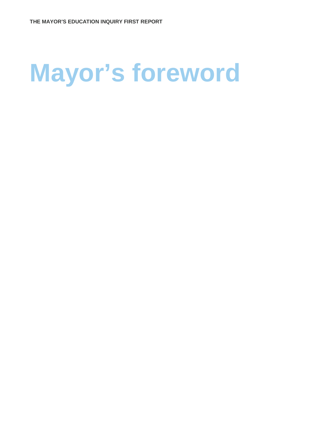# **Mayor's foreword**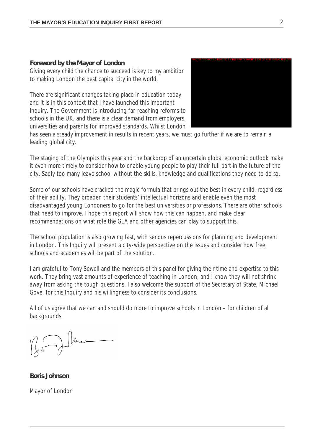#### **Foreword by the Mayor of London**

Giving every child the chance to succeed is key to my ambition to making London the best capital city in the world.

There are significant changes taking place in education today and it is in this context that I have launched this important Inquiry. The Government is introducing far-reaching reforms to schools in the UK, and there is a clear demand from employers, universities and parents for improved standards. Whilst London



has seen a steady improvement in results in recent years, we must go further if we are to remain a leading global city.

The staging of the Olympics this year and the backdrop of an uncertain global economic outlook make it even more timely to consider how to enable young people to play their full part in the future of the city. Sadly too many leave school without the skills, knowledge and qualifications they need to do so.

Some of our schools have cracked the magic formula that brings out the best in every child, regardless of their ability. They broaden their students' intellectual horizons and enable even the most disadvantaged young Londoners to go for the best universities or professions. There are other schools that need to improve. I hope this report will show how this can happen, and make clear recommendations on what role the GLA and other agencies can play to support this.

The school population is also growing fast, with serious repercussions for planning and development in London. This Inquiry will present a city-wide perspective on the issues and consider how free schools and academies will be part of the solution.

I am grateful to Tony Sewell and the members of this panel for giving their time and expertise to this work. They bring vast amounts of experience of teaching in London, and I know they will not shrink away from asking the tough questions. I also welcome the support of the Secretary of State, Michael Gove, for this Inquiry and his willingness to consider its conclusions.

All of us agree that we can and should do more to improve schools in London – for children of all backgrounds.

Muce

**Boris Johnson**

Mayor of London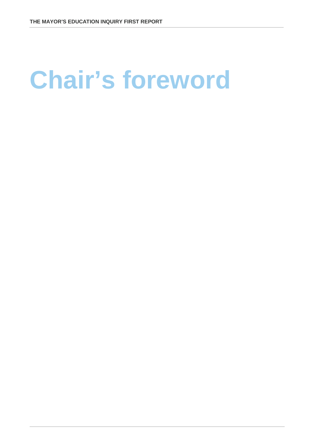## **Chair's foreword**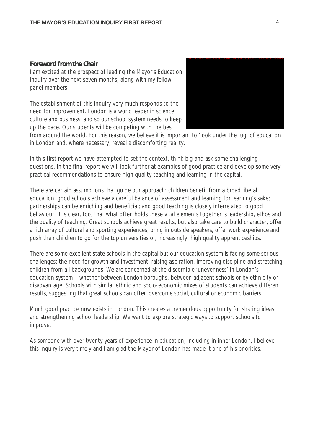#### **Foreword from the Chair**

I am excited at the prospect of leading the Mayor's Education Inquiry over the next seven months, along with my fellow panel members.

The establishment of this Inquiry very much responds to the need for improvement. London is a world leader in science, culture and business, and so our school system needs to keep up the pace. Our students will be competing with the best



from around the world. For this reason, we believe it is important to 'look under the rug' of education in London and, where necessary, reveal a discomforting reality.

In this first report we have attempted to set the context, think big and ask some challenging questions. In the final report we will look further at examples of good practice and develop some very practical recommendations to ensure high quality teaching and learning in the capital.

There are certain assumptions that guide our approach: children benefit from a broad liberal education; good schools achieve a careful balance of assessment and learning for learning's sake; partnerships can be enriching and beneficial; and good teaching is closely interrelated to good behaviour. It is clear, too, that what often holds these vital elements together is leadership, ethos and the quality of teaching. Great schools achieve great results, but also take care to build character, offer a rich array of cultural and sporting experiences, bring in outside speakers, offer work experience and push their children to go for the top universities or, increasingly, high quality apprenticeships.

There are some excellent state schools in the capital but our education system is facing some serious challenges: the need for growth and investment, raising aspiration, improving discipline and stretching children from all backgrounds. We are concerned at the discernible 'unevenness' in London's education system – whether between London boroughs, between adjacent schools or by ethnicity or disadvantage. Schools with similar ethnic and socio-economic mixes of students can achieve different results, suggesting that great schools can often overcome social, cultural or economic barriers.

Much good practice now exists in London. This creates a tremendous opportunity for sharing ideas and strengthening school leadership. We want to explore strategic ways to support schools to improve.

As someone with over twenty years of experience in education, including in inner London, I believe this Inquiry is very timely and I am glad the Mayor of London has made it one of his priorities.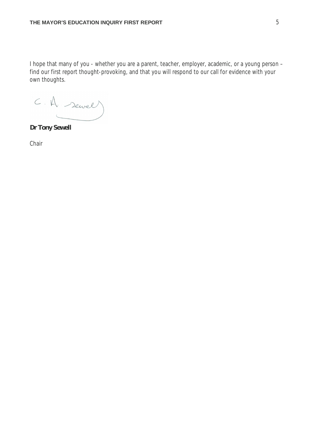I hope that many of you - whether you are a parent, teacher, employer, academic, or a young person – find our first report thought-provoking, and that you will respond to our call for evidence with your own thoughts.

C.A. servel

**Dr Tony Sewell**

Chair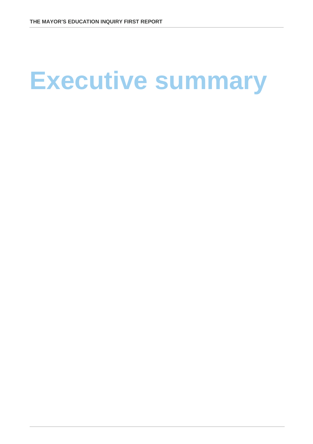# **Executive summary**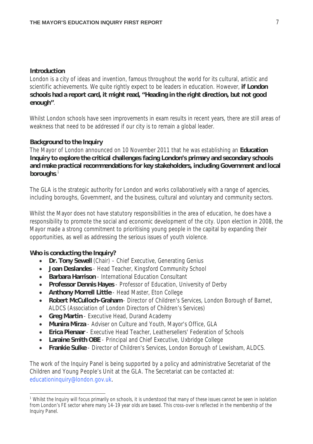#### **Introduction**

London is a city of ideas and invention, famous throughout the world for its cultural, artistic and scientific achievements. We quite rightly expect to be leaders in education. However, **if London schools had a report card, it might read, "Heading in the right direction, but not good enough"**.

Whilst London schools have seen improvements in exam results in recent years, there are still areas of weakness that need to be addressed if our city is to remain a global leader.

#### **Background to the Inquiry**

The Mayor of London announced on 10 November 2011 that he was establishing an **Education Inquiry to explore the critical challenges facing London's primary and secondary schools and make practical recommendations for key stakeholders, including Government and local boroughs**. 1

The GLA is the strategic authority for London and works collaboratively with a range of agencies, including boroughs, Government, and the business, cultural and voluntary and community sectors.

Whilst the Mayor does not have statutory responsibilities in the area of education, he does have a responsibility to promote the social and economic development of the city. Upon election in 2008, the Mayor made a strong commitment to prioritising young people in the capital by expanding their opportunities, as well as addressing the serious issues of youth violence.

#### **Who is conducting the Inquiry?**

- **Dr. Tony Sewell** (Chair) Chief Executive, Generating Genius
- **Joan Deslandes** Head Teacher, Kingsford Community School
- **Barbara Harrison** International Education Consultant
- **Professor Dennis Hayes** Professor of Education, University of Derby
- **Anthony Morrell Little** Head Master, Eton College
- **Robert McCulloch-Graham** Director of Children's Services, London Borough of Barnet, ALDCS (Association of London Directors of Children's Services)
- **Greg Martin** Executive Head, Durand Academy
- **Munira Mirza** Adviser on Culture and Youth, Mayor's Office, GLA
- **Erica Pienaar** Executive Head Teacher, Leathersellers' Federation of Schools
- **Laraine Smith OBE** Principal and Chief Executive, Uxbridge College
- **Frankie Sulke** Director of Children's Services, London Borough of Lewisham, ALDCS.

The work of the Inquiry Panel is being supported by a policy and administrative Secretariat of the Children and Young People's Unit at the GLA. The Secretariat can be contacted at: educationinquiry@london.gov.uk.

 $\overline{a}$ <sup>1</sup> Whilst the Inquiry will focus primarily on schools, it is understood that many of these issues cannot be seen in isolation from London's FE sector where many 14-19 year olds are based. This cross-over is reflected in the membership of the Inquiry Panel.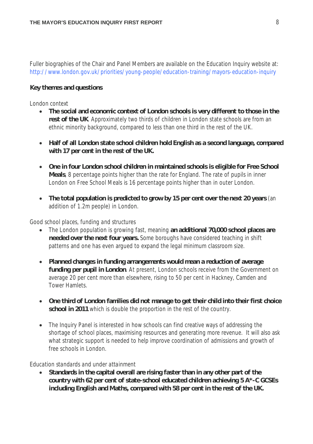Fuller biographies of the Chair and Panel Members are available on the Education Inquiry website at: http://www.london.gov.uk/priorities/young-people/education-training/mayors-education-inquiry

#### **Key themes and questions**

#### *London context*

- **The social and economic context of London schools is very different to those in the rest of the UK**. Approximately two thirds of children in London state schools are from an ethnic minority background, compared to less than one third in the rest of the UK.
- **Half of all London state school children hold English as a second language, compared with 17 per cent in the rest of the UK.**
- **One in four London school children in maintained schools is eligible for Free School Meals**, 8 percentage points higher than the rate for England. The rate of pupils in inner London on Free School Meals is 16 percentage points higher than in outer London.
- **The total population is predicted to grow by 15 per cent over the next 20 years** (an addition of 1.2m people) in London.

#### *Good school places, funding and structures*

- The London population is growing fast, meaning **an additional 70,000 school places are needed over the next four years.** Some boroughs have considered teaching in shift patterns and one has even argued to expand the legal minimum classroom size.
- **Planned changes in funding arrangements would mean a reduction of average funding per pupil in London**. At present, London schools receive from the Government on average 20 per cent more than elsewhere, rising to 50 per cent in Hackney, Camden and Tower Hamlets.
- **One third of London families did not manage to get their child into their first choice school in 2011** which is double the proportion in the rest of the country.
- The Inquiry Panel is interested in how schools can find creative ways of addressing the shortage of school places, maximising resources and generating more revenue. It will also ask what strategic support is needed to help improve coordination of admissions and growth of free schools in London.

#### *Education standards and under attainment*

 **Standards in the capital overall are rising faster than in any other part of the country with 62 per cent of state-school educated children achieving 5 A\*-C GCSEs including English and Maths, compared with 58 per cent in the rest of the UK.**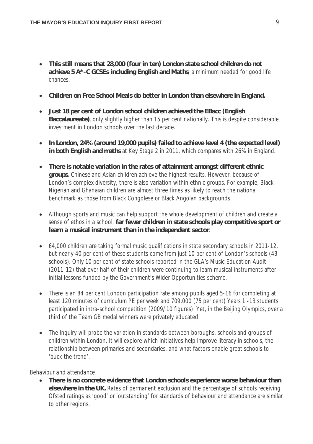- **This still means that 28,000 (four in ten) London state school children do not achieve 5 A\*-C GCSEs including English and Maths**, a minimum needed for good life chances.
- **Children on Free School Meals do better in London than elsewhere in England.**
- **Just 18 per cent of London school children achieved the EBacc (English Baccalaureate)**, only slightly higher than 15 per cent nationally. This is despite considerable investment in London schools over the last decade.
- **In London, 24% (around 19,000 pupils) failed to achieve level 4 (the expected level) in both English and maths** at Key Stage 2 in 2011, which compares with 26% in England.
- **There is notable variation in the rates of attainment amongst different ethnic groups**. Chinese and Asian children achieve the highest results. However, because of London's complex diversity, there is also variation within ethnic groups. For example, Black Nigerian and Ghanaian children are almost three times as likely to reach the national benchmark as those from Black Congolese or Black Angolan backgrounds.
- Although sports and music can help support the whole development of children and create a sense of ethos in a school, **far fewer children in state schools play competitive sport or learn a musical instrument than in the independent sector**.
- 64,000 children are taking formal music qualifications in state secondary schools in 2011-12, but nearly 40 per cent of these students come from just 10 per cent of London's schools (43 schools). Only 10 per cent of state schools reported in the GLA's Music Education Audit (2011-12) that over half of their children were continuing to learn musical instruments after initial lessons funded by the Government's Wider Opportunities scheme.
- There is an 84 per cent London participation rate among pupils aged 5-16 for completing at least 120 minutes of curriculum PE per week and 709,000 (75 per cent) Years 1 -13 students participated in intra-school competition (2009/10 figures). Yet, in the Beijing Olympics, over a third of the Team GB medal winners were privately educated.
- The Inquiry will probe the variation in standards between boroughs, schools and groups of children within London. It will explore which initiatives help improve literacy in schools, the relationship between primaries and secondaries, and what factors enable great schools to 'buck the trend'.

#### *Behaviour and attendance*

 **There is no concrete evidence that London schools experience worse behaviour than elsewhere in the UK.** Rates of permanent exclusion and the percentage of schools receiving Ofsted ratings as 'good' or 'outstanding' for standards of behaviour and attendance are similar to other regions.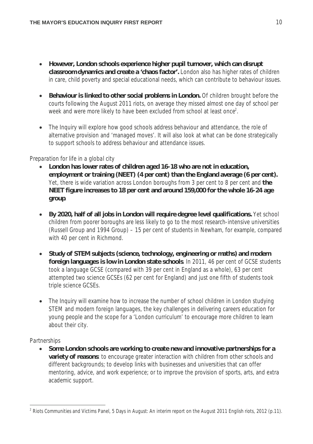- **However, London schools experience higher pupil turnover, which can disrupt classroom dynamics and create a 'chaos factor'.** London also has higher rates of children in care, child poverty and special educational needs, which can contribute to behaviour issues.
- **Behaviour is linked to other social problems in London.** Of children brought before the courts following the August 2011 riots, on average they missed almost one day of school per week and were more likely to have been excluded from school at least once<sup>2</sup>.
- The Inquiry will explore how good schools address behaviour and attendance, the role of alternative provision and 'managed moves'. It will also look at what can be done strategically to support schools to address behaviour and attendance issues.

#### *Preparation for life in a global city*

- **London has lower rates of children aged 16-18 who are not in education, employment or training (NEET) (4 per cent) than the England average (6 per cent).** Yet, there is wide variation across London boroughs from 3 per cent to 8 per cent and **the NEET figure increases to 18 per cent and around 159,000 for the whole 16-24 age group**.
- **By 2020, half of all jobs in London will require degree level qualifications.** Yet school children from poorer boroughs are less likely to go to the most research-intensive universities (Russell Group and 1994 Group) – 15 per cent of students in Newham, for example, compared with 40 per cent in Richmond.
- **Study of STEM subjects (science, technology, engineering or maths) and modern foreign languages is low in London state schools**. In 2011, 46 per cent of GCSE students took a language GCSE (compared with 39 per cent in England as a whole), 63 per cent attempted two science GCSEs (62 per cent for England) and just one fifth of students took triple science GCSEs.
- The Inquiry will examine how to increase the number of school children in London studying STEM and modern foreign languages, the key challenges in delivering careers education for young people and the scope for a 'London curriculum' to encourage more children to learn about their city.

#### *Partnerships*

 $\overline{a}$ 

 **Some London schools are working to create new and innovative partnerships for a variety of reasons**: to encourage greater interaction with children from other schools and different backgrounds; to develop links with businesses and universities that can offer mentoring, advice, and work experience; or to improve the provision of sports, arts, and extra academic support.

 $^2$  Riots Communities and Victims Panel, 5 Days in August: An interim report on the August 2011 English riots, 2012 (p.11).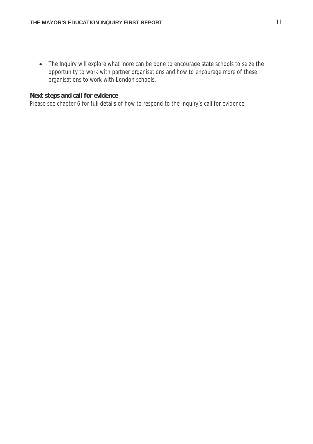• The Inquiry will explore what more can be done to encourage state schools to seize the opportunity to work with partner organisations and how to encourage more of these organisations to work with London schools.

#### **Next steps and call for evidence**

Please see chapter 6 for full details of how to respond to the Inquiry's call for evidence.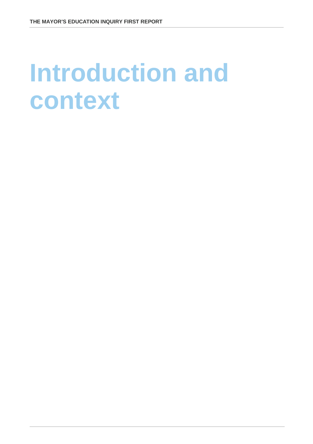### **Introduction and context**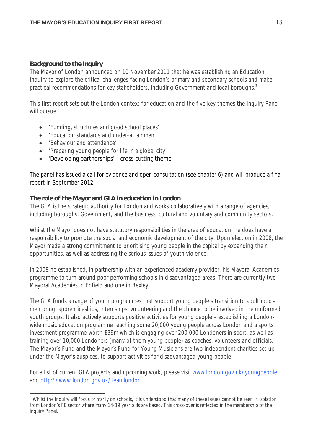#### **Background to the Inquiry**

The Mayor of London announced on 10 November 2011 that he was establishing an Education Inquiry to explore the critical challenges facing London's primary and secondary schools and make practical recommendations for key stakeholders, including Government and local boroughs.<sup>3</sup>

This first report sets out the London context for education and the five key themes the Inquiry Panel will pursue:

- 'Funding, structures and good school places'
- 'Education standards and under-attainment'
- 'Behaviour and attendance'
- 'Preparing young people for life in a global city'
- 'Developing partnerships' cross-cutting theme

The panel has issued a call for evidence and open consultation (see chapter 6) and will produce a final report in September 2012.

#### **The role of the Mayor and GLA in education in London**

The GLA is the strategic authority for London and works collaboratively with a range of agencies, including boroughs, Government, and the business, cultural and voluntary and community sectors.

Whilst the Mayor does not have statutory responsibilities in the area of education, he does have a responsibility to promote the social and economic development of the city. Upon election in 2008, the Mayor made a strong commitment to prioritising young people in the capital by expanding their opportunities, as well as addressing the serious issues of youth violence.

In 2008 he established, in partnership with an experienced academy provider, his Mayoral Academies programme to turn around poor performing schools in disadvantaged areas. There are currently two Mayoral Academies in Enfield and one in Bexley.

The GLA funds a range of youth programmes that support young people's transition to adulthood – mentoring, apprenticeships, internships, volunteering and the chance to be involved in the uniformed youth groups. It also actively supports positive activities for young people – establishing a Londonwide music education programme reaching some 20,000 young people across London and a sports investment programme worth £39m which is engaging over 200,000 Londoners in sport, as well as training over 10,000 Londoners (many of them young people) as coaches, volunteers and officials. The Mayor's Fund and the Mayor's Fund for Young Musicians are two independent charities set up under the Mayor's auspices, to support activities for disadvantaged young people.

For a list of current GLA projects and upcoming work, please visit www.london.gov.uk/youngpeople and http://www.london.gov.uk/teamlondon

 $\overline{a}$ <sup>3</sup> Whilst the Inquiry will focus primarily on schools, it is understood that many of these issues cannot be seen in isolation from London's FE sector where many 14-19 year olds are based. This cross-over is reflected in the membership of the Inquiry Panel.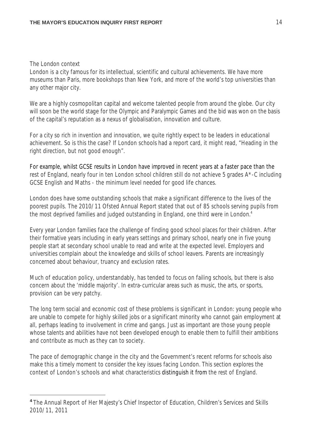#### The London context

 $\overline{a}$ 

London is a city famous for its intellectual, scientific and cultural achievements. We have more museums than Paris, more bookshops than New York, and more of the world's top universities than any other major city.

We are a highly cosmopolitan capital and welcome talented people from around the globe. Our city will soon be the world stage for the Olympic and Paralympic Games and the bid was won on the basis of the capital's reputation as a nexus of globalisation, innovation and culture.

For a city so rich in invention and innovation, we quite rightly expect to be leaders in educational achievement. So is this the case? If London schools had a report card, it might read, "Heading in the right direction, but not good enough".

For example, whilst GCSE results in London have improved in recent years at a faster pace than the rest of England, nearly four in ten London school children still do not achieve 5 grades A\*-C including GCSE English and Maths - the minimum level needed for good life chances.

London does have some outstanding schools that make a significant difference to the lives of the poorest pupils. The 2010/11 Ofsted Annual Report stated that out of 85 schools serving pupils from the most deprived families and judged outstanding in England, one third were in London.<sup>4</sup>

Every year London families face the challenge of finding good school places for their children. After their formative years including in early years settings and primary school, nearly one in five young people start at secondary school unable to read and write at the expected level. Employers and universities complain about the knowledge and skills of school leavers. Parents are increasingly concerned about behaviour, truancy and exclusion rates.

Much of education policy, understandably, has tended to focus on failing schools, but there is also concern about the 'middle majority'. In extra-curricular areas such as music, the arts, or sports, provision can be very patchy.

The long term social and economic cost of these problems is significant in London: young people who are unable to compete for highly skilled jobs or a significant minority who cannot gain employment at all, perhaps leading to involvement in crime and gangs. Just as important are those young people whose talents and abilities have not been developed enough to enable them to fulfill their ambitions and contribute as much as they can to society.

The pace of demographic change in the city and the Government's recent reforms for schools also make this a timely moment to consider the key issues facing London. This section explores the context of London's schools and what characteristics distinguish it from the rest of England.

**<sup>4</sup>** The Annual Report of Her Majesty's Chief Inspector of Education, Children's Services and Skills 2010/11, 2011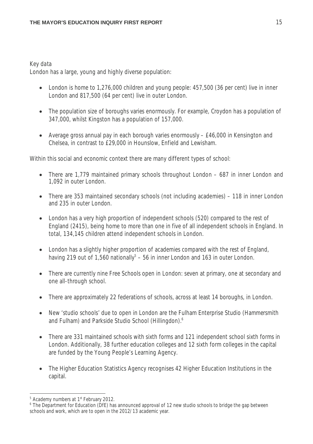#### *Key data*

London has a large, young and highly diverse population:

- London is home to 1,276,000 children and young people: 457,500 (36 per cent) live in inner London and 817,500 (64 per cent) live in outer London.
- The population size of boroughs varies enormously. For example, Croydon has a population of 347,000, whilst Kingston has a population of 157,000.
- Average gross annual pay in each borough varies enormously £46,000 in Kensington and Chelsea, in contrast to £29,000 in Hounslow, Enfield and Lewisham.

Within this social and economic context there are many different types of school:

- There are 1,779 maintained primary schools throughout London 687 in inner London and 1,092 in outer London.
- There are 353 maintained secondary schools (not including academies) 118 in inner London and 235 in outer London.
- London has a very high proportion of independent schools (520) compared to the rest of England (2415), being home to more than one in five of all independent schools in England. In total, 134,145 children attend independent schools in London.
- London has a slightly higher proportion of academies compared with the rest of England, having 219 out of 1,560 nationally<sup>5</sup> – 56 in inner London and 163 in outer London.
- There are currently nine Free Schools open in London: seven at primary, one at secondary and one all-through school.
- There are approximately 22 federations of schools, across at least 14 boroughs, in London.
- New 'studio schools' due to open in London are the Fulham Enterprise Studio (Hammersmith and Fulham) and Parkside Studio School (Hillingdon).<sup>6</sup>
- There are 331 maintained schools with sixth forms and 121 independent school sixth forms in London. Additionally, 38 further education colleges and 12 sixth form colleges in the capital are funded by the Young People's Learning Agency.
- The Higher Education Statistics Agency recognises 42 Higher Education Institutions in the capital.

<sup>&</sup>lt;sup>5</sup> Academy numbers at 1<sup>st</sup> February 2012.

<sup>&</sup>lt;sup>6</sup> The Department for Education (DfE) has announced approval of 12 new studio schools to bridge the gap between schools and work, which are to open in the 2012/13 academic year.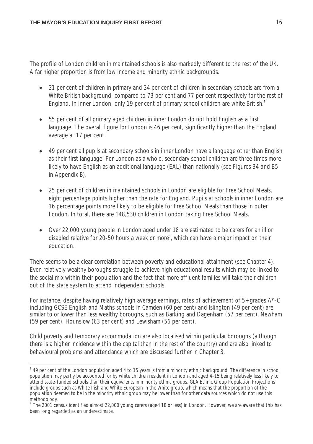The profile of London children in maintained schools is also markedly different to the rest of the UK. A far higher proportion is from low income and minority ethnic backgrounds.

- 31 per cent of children in primary and 34 per cent of children in secondary schools are from a White British background, compared to 73 per cent and 77 per cent respectively for the rest of England. In inner London, only 19 per cent of primary school children are white British.<sup>7</sup>
- 55 per cent of all primary aged children in inner London do not hold English as a first language. The overall figure for London is 46 per cent, significantly higher than the England average at 17 per cent.
- 49 per cent all pupils at secondary schools in inner London have a language other than English as their first language. For London as a whole, secondary school children are three times more likely to have English as an additional language (EAL) than nationally *(see Figures B4 and B5 in Appendix B).*
- 25 per cent of children in maintained schools in London are eligible for Free School Meals, eight percentage points higher than the rate for England. Pupils at schools in inner London are 16 percentage points more likely to be eligible for Free School Meals than those in outer London. In total, there are 148,530 children in London taking Free School Meals.
- Over 22,000 young people in London aged under 18 are estimated to be carers for an ill or disabled relative for 20-50 hours a week or more<sup>8</sup>, which can have a major impact on their education.

There seems to be a clear correlation between poverty and educational attainment (see Chapter 4). Even relatively wealthy boroughs struggle to achieve high educational results which may be linked to the social mix within their population and the fact that more affluent families will take their children out of the state system to attend independent schools.

For instance, despite having relatively high average earnings, rates of achievement of 5+ grades A\*-C including GCSE English and Maths schools in Camden (60 per cent) and Islington (49 per cent) are similar to or lower than less wealthy boroughs, such as Barking and Dagenham (57 per cent), Newham (59 per cent), Hounslow (63 per cent) and Lewisham (56 per cent).

Child poverty and temporary accommodation are also localised within particular boroughs (although there is a higher incidence within the capital than in the rest of the country) and are also linked to behavioural problems and attendance which are discussed further in Chapter 3.

 $\overline{a}$  $^7$  49 per cent of the London population aged 4 to 15 years is from a minority ethnic background. The difference in school population may partly be accounted for by white children resident in London and aged 4-15 being relatively less likely to attend state-funded schools than their equivalents in minority ethnic groups. GLA Ethnic Group Population Projections include groups such as White Irish and White European in the White group, which means that the proportion of the population deemed to be in the minority ethnic group may be lower than for other data sources which do not use this methodology.

<sup>&</sup>lt;sup>8</sup> The 2001 census identified almost 22,000 young carers (aged 18 or less) in London. However, we are aware that this has been long regarded as an underestimate.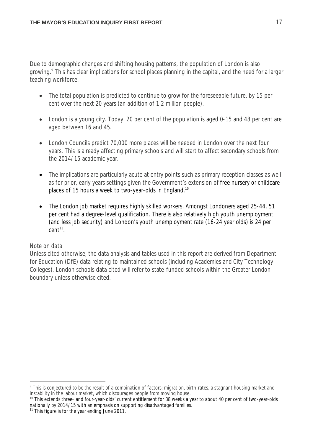Due to demographic changes and shifting housing patterns, the population of London is also growing.<sup>9</sup> This has clear implications for school places planning in the capital, and the need for a larger teaching workforce.

- The total population is predicted to continue to grow for the foreseeable future, by 15 per cent over the next 20 years (an addition of 1.2 million people).
- London is a young city. Today, 20 per cent of the population is aged 0-15 and 48 per cent are aged between 16 and 45.
- London Councils predict 70,000 more places will be needed in London over the next four years. This is already affecting primary schools and will start to affect secondary schools from the 2014/15 academic year.
- The implications are particularly acute at entry points such as primary reception classes as well as for prior, early years settings given the Government's extension of free nursery or childcare places of 15 hours a week to two-year-olds in England.<sup>10</sup>
- The London job market requires highly skilled workers. Amongst Londoners aged 25-44, 51 per cent had a degree-level qualification. There is also relatively high youth unemployment (and less job security) and London's youth unemployment rate (16-24 year olds) is 24 per  $cent<sup>11</sup>$ .

#### *Note on data*

Unless cited otherwise, the data analysis and tables used in this report are derived from Department for Education (DfE) data relating to maintained schools (including Academies and City Technology Colleges). London schools data cited will refer to state-funded schools within the Greater London boundary unless otherwise cited.

j <sup>9</sup> This is conjectured to be the result of a combination of factors: migration, birth-rates, a stagnant housing market and instability in the labour market, which discourages people from moving house.

<sup>&</sup>lt;sup>10</sup> This extends three- and four-year-olds' current entitlement for 38 weeks a year to about 40 per cent of two-year-olds nationally by 2014/15 with an emphasis on supporting disadvantaged families.

<sup>&</sup>lt;sup>11</sup> This figure is for the year ending June 2011.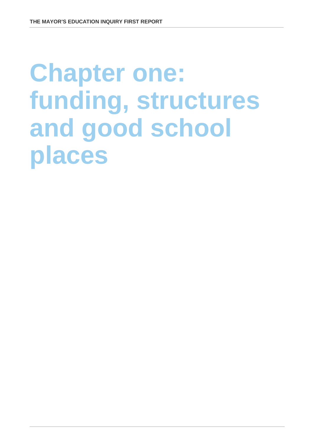## **Chapter one: funding, structures and good school places**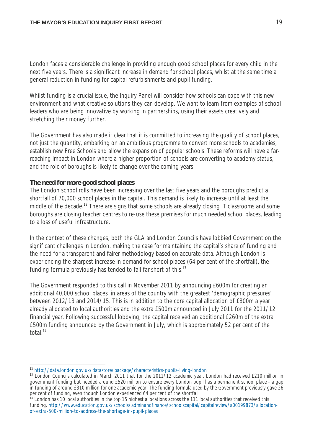London faces a considerable challenge in providing enough good school places for every child in the next five years. There is a significant increase in demand for school places, whilst at the same time a general reduction in funding for capital refurbishments and pupil funding.

Whilst funding is a crucial issue, the Inquiry Panel will consider how schools can cope with this new environment and what creative solutions they can develop. We want to learn from examples of school leaders who are being innovative by working in partnerships, using their assets creatively and stretching their money further.

The Government has also made it clear that it is committed to increasing the *quality* of school places, not just the *quantity*, embarking on an ambitious programme to convert more schools to academies, establish new Free Schools and allow the expansion of popular schools. These reforms will have a farreaching impact in London where a higher proportion of schools are converting to academy status, and the role of boroughs is likely to change over the coming years.

#### **The need for more good school places**

The London school rolls have been increasing over the last five years and the boroughs predict a shortfall of 70,000 school places in the capital. This demand is likely to increase until at least the middle of the decade.<sup>12</sup> There are signs that some schools are already closing IT classrooms and some boroughs are closing teacher centres to re-use these premises for much needed school places, leading to a loss of useful infrastructure.

In the context of these changes, both the GLA and London Councils have lobbied Government on the significant challenges in London, making the case for maintaining the capital's share of funding and the need for a transparent and fairer methodology based on accurate data. Although London is experiencing the sharpest increase in demand for school places (64 per cent of the shortfall), the funding formula previously has tended to fall far short of this.<sup>13</sup>

The Government responded to this call in November 2011 by announcing £600m for creating an additional 40,000 school places in areas of the country with the greatest 'demographic pressures' between 2012/13 and 2014/15. This is in addition to the core capital allocation of £800m a year already allocated to local authorities and the extra £500m announced in July 2011 for the 2011/12 financial year. Following successful lobbying, the capital received an additional £260m of the extra £500m funding announced by the Government in July, which is approximately 52 per cent of the total<sup>14</sup>

 $\overline{a}$ <sup>12</sup> http://data.london.gov.uk/datastore/package/characteristics-pupils-living-london

 $13$  London Councils calculated in March 2011 that for the 2011/12 academic year, London had received £210 million in government funding but needed around £520 million to ensure every London pupil has a permanent school place - a gap in funding of around £310 million for one academic year. The funding formula used by the Government previously gave 26 per cent of funding, even though London experienced 64 per cent of the shortfall.

<sup>&</sup>lt;sup>14</sup> London has 10 local authorities in the top 15 highest allocations across the 111 local authorities that received this funding. http://www.education.gov.uk/schools/adminandfinance/schoolscapital/capitalreview/a00199873/allocationof-extra-500-million-to-address-the-shortage-in-pupil-places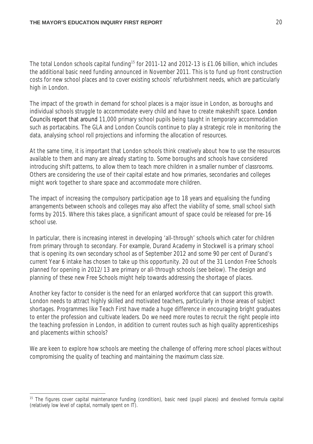The total London schools capital funding<sup>15</sup> for 2011-12 and 2012-13 is £1.06 billion, which includes the additional basic need funding announced in November 2011. This is to fund up front construction costs for new school places and to cover existing schools' refurbishment needs, which are particularly high in London.

The impact of the growth in demand for school places is a major issue in London, as boroughs and individual schools struggle to accommodate every child and have to create makeshift space. London Councils report that around 11,000 primary school pupils being taught in temporary accommodation such as portacabins. The GLA and London Councils continue to play a strategic role in monitoring the data, analysing school roll projections and informing the allocation of resources.

At the same time, it is important that London schools think creatively about how to use the resources available to them and many are already starting to. Some boroughs and schools have considered introducing shift patterns, to allow them to teach more children in a smaller number of classrooms. Others are considering the use of their capital estate and how primaries, secondaries and colleges might work together to share space and accommodate more children.

The impact of increasing the compulsory participation age to 18 years and equalising the funding arrangements between schools and colleges may also affect the viability of some, small school sixth forms by 2015. Where this takes place, a significant amount of space could be released for pre-16 school use.

In particular, there is increasing interest in developing 'all-through' schools which cater for children from primary through to secondary. For example, Durand Academy in Stockwell is a primary school that is opening its own secondary school as of September 2012 and some 90 per cent of Durand's current Year 6 intake has chosen to take up this opportunity. 20 out of the 31 London Free Schools planned for opening in 2012/13 are primary or all-through schools (see below). The design and planning of these new Free Schools might help towards addressing the shortage of places.

Another key factor to consider is the need for an enlarged workforce that can support this growth. London needs to attract highly skilled and motivated teachers, particularly in those areas of subject shortages. Programmes like Teach First have made a huge difference in encouraging bright graduates to enter the profession and cultivate leaders. Do we need more routes to recruit the right people into the teaching profession in London, in addition to current routes such as high quality apprenticeships and placements within schools?

We are keen to explore how schools are meeting the challenge of offering more school places without compromising the quality of teaching and maintaining the maximum class size.

 $\overline{a}$ <sup>15</sup> The figures cover capital maintenance funding (condition), basic need (pupil places) and devolved formula capital (relatively low level of capital, normally spent on IT).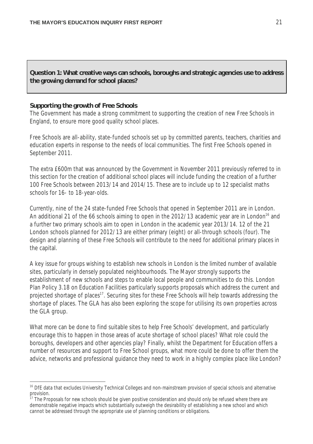**Question 1: What creative ways can schools, boroughs and strategic agencies use to address the growing demand for school places?**

#### **Supporting the growth of Free Schools**

The Government has made a strong commitment to supporting the creation of new Free Schools in England, to ensure more good quality school places.

Free Schools are all-ability, state-funded schools set up by committed parents, teachers, charities and education experts in response to the needs of local communities. The first Free Schools opened in September 2011.

The extra £600m that was announced by the Government in November 2011 previously referred to in this section for the creation of additional school places will include funding the creation of a further 100 Free Schools between 2013/14 and 2014/15. These are to include up to 12 specialist maths schools for 16- to 18-year-olds.

Currently, nine of the 24 state-funded Free Schools that opened in September 2011 are in London. An additional 21 of the 66 schools aiming to open in the 2012/13 academic year are in London<sup>16</sup> and a further two primary schools aim to open in London in the academic year 2013/14. 12 of the 21 London schools planned for 2012/13 are either primary (eight) or all-through schools (four). The design and planning of these Free Schools will contribute to the need for additional primary places in the capital.

A key issue for groups wishing to establish new schools in London is the limited number of available sites, particularly in densely populated neighbourhoods. The Mayor strongly supports the establishment of new schools and steps to enable local people and communities to do this. London Plan Policy 3.18 on Education Facilities particularly supports proposals which address the current and projected shortage of places<sup>17</sup>. Securing sites for these Free Schools will help towards addressing the shortage of places. The GLA has also been exploring the scope for utilising its own properties across the GLA group.

What more can be done to find suitable sites to help Free Schools' development, and particularly encourage this to happen in those areas of acute shortage of school places? What role could the boroughs, developers and other agencies play? Finally, whilst the Department for Education offers a number of resources and support to Free School groups, what more could be done to offer them the advice, networks and professional guidance they need to work in a highly complex place like London?

j <sup>16</sup> DfE data that excludes University Technical Colleges and non-mainstream provision of special schools and alternative provision.

<sup>17</sup> The Proposals for new schools should be given positive consideration and should only be refused where there are demonstrable negative impacts which substantially outweigh the desirability of establishing a new school and which cannot be addressed through the appropriate use of planning conditions or obligations.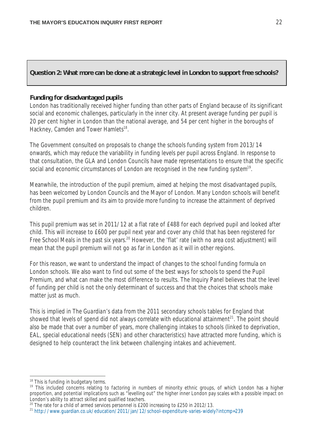#### **Question 2: What more can be done at a strategic level in London to support free schools?**

#### **Funding for disadvantaged pupils**

London has traditionally received higher funding than other parts of England because of its significant social and economic challenges, particularly in the inner city. At present average funding per pupil is 20 per cent higher in London than the national average, and 54 per cent higher in the boroughs of Hackney, Camden and Tower Hamlets<sup>18</sup>.

The Government consulted on proposals to change the schools funding system from 2013/14 onwards, which may reduce the variability in funding levels per pupil across England. In response to that consultation, the GLA and London Councils have made representations to ensure that the specific social and economic circumstances of London are recognised in the new funding system<sup>19</sup>.

Meanwhile, the introduction of the pupil premium, aimed at helping the most disadvantaged pupils, has been welcomed by London Councils and the Mayor of London. Many London schools will benefit from the pupil premium and its aim to provide more funding to increase the attainment of deprived children.

This pupil premium was set in 2011/12 at a flat rate of £488 for each deprived pupil and looked after child. This will increase to £600 per pupil next year and cover any child that has been registered for Free School Meals in the past six years.<sup>20</sup> However, the 'flat' rate (with no area cost adjustment) will mean that the pupil premium will not go as far in London as it will in other regions.

For this reason, we want to understand the impact of changes to the school funding formula on London schools. We also want to find out some of the best ways for schools to spend the Pupil Premium, and what can make the most difference to results. The Inquiry Panel believes that the level of funding per child is not the only determinant of success and that the choices that schools make matter just as much.

This is implied in *The Guardian's* data from the 2011 secondary schools tables for England that showed that levels of spend did not always correlate with educational attainment $^{21}$ . The point should also be made that over a number of years, more challenging intakes to schools (linked to deprivation, EAL, special educational needs (SEN) and other characteristics) have attracted more funding, which is designed to help counteract the link between challenging intakes and achievement.

 $\overline{a}$ <sup>18</sup> This is funding in budgetary terms.

<sup>&</sup>lt;sup>19</sup> This included concerns relating to factoring in numbers of minority ethnic groups, of which London has a higher proportion, and potential implications such as "levelling out" the higher inner London pay scales with a possible impact on London's ability to attract skilled and qualified teachers.

<sup>&</sup>lt;sup>20</sup> The rate for a child of armed services personnel is £200 increasing to £250 in 2012/13.

<sup>21</sup> http://www.guardian.co.uk/education/2011/jan/12/school-expenditure-varies-widely?intcmp=239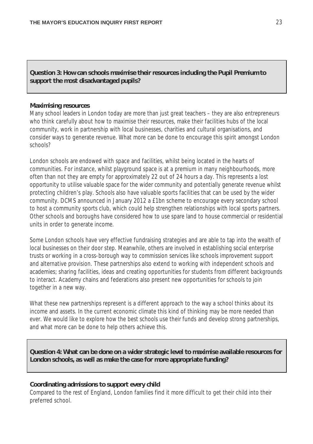**Question 3: How can schools maximise their resources including the Pupil Premium to support the most disadvantaged pupils?**

#### **Maximising resources**

Many school leaders in London today are more than just great teachers – they are also entrepreneurs who think carefully about how to maximise their resources, make their facilities hubs of the local community, work in partnership with local businesses, charities and cultural organisations, and consider ways to generate revenue. What more can be done to encourage this spirit amongst London schools?

London schools are endowed with space and facilities, whilst being located in the hearts of communities. For instance, whilst playground space is at a premium in many neighbourhoods, more often than not they are empty for approximately 22 out of 24 hours a day. This represents a lost opportunity to utilise valuable space for the wider community and potentially generate revenue whilst protecting children's play. Schools also have valuable sports facilities that can be used by the wider community. DCMS announced in January 2012 a £1bn scheme to encourage every secondary school to host a community sports club, which could help strengthen relationships with local sports partners. Other schools and boroughs have considered how to use spare land to house commercial or residential units in order to generate income.

Some London schools have very effective fundraising strategies and are able to tap into the wealth of local businesses on their door step. Meanwhile, others are involved in establishing social enterprise trusts or working in a cross-borough way to commission services like schools improvement support and alternative provision. These partnerships also extend to working with independent schools and academies; sharing facilities, ideas and creating opportunities for students from different backgrounds to interact. Academy chains and federations also present new opportunities for schools to join together in a new way.

What these new partnerships represent is a different approach to the way a school thinks about its income and assets. In the current economic climate this kind of thinking may be more needed than ever. We would like to explore how the best schools use their funds and develop strong partnerships, and what more can be done to help others achieve this.

**Question 4: What can be done on a wider strategic level to maximise available resources for London schools, as well as make the case for more appropriate funding?**

#### **Coordinating admissions to support every child**

Compared to the rest of England, London families find it more difficult to get their child into their preferred school.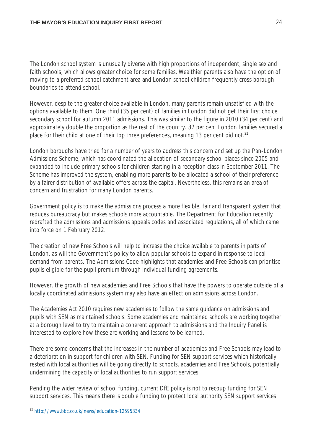The London school system is unusually diverse with high proportions of independent, single sex and faith schools, which allows greater choice for some families. Wealthier parents also have the option of moving to a preferred school catchment area and London school children frequently cross borough boundaries to attend school.

However, despite the greater choice available in London, many parents remain unsatisfied with the options available to them. One third (35 per cent) of families in London did not get their first choice secondary school for autumn 2011 admissions. This was similar to the figure in 2010 (34 per cent) and approximately double the proportion as the rest of the country. 87 per cent London families secured a place for their child at one of their top three preferences, meaning 13 per cent did not.<sup>22</sup>

London boroughs have tried for a number of years to address this concern and set up the Pan-London Admissions Scheme, which has coordinated the allocation of secondary school places since 2005 and expanded to include primary schools for children starting in a reception class in September 2011. The Scheme has improved the system, enabling more parents to be allocated a school of their preference by a fairer distribution of available offers across the capital. Nevertheless, this remains an area of concern and frustration for many London parents.

Government policy is to make the admissions process a more flexible, fair and transparent system that reduces bureaucracy but makes schools more accountable. The Department for Education recently redrafted the admissions and admissions appeals codes and associated regulations, all of which came into force on 1 February 2012.

The creation of new Free Schools will help to increase the choice available to parents in parts of London, as will the Government's policy to allow popular schools to expand in response to local demand from parents. The Admissions Code highlights that academies and Free Schools can prioritise pupils eligible for the pupil premium through individual funding agreements*.*

However, the growth of new academies and Free Schools that have the powers to operate outside of a locally coordinated admissions system may also have an effect on admissions across London.

The *Academies Act* 2010 requires new academies to follow the same guidance on admissions and pupils with SEN as maintained schools. Some academies and maintained schools are working together at a borough level to try to maintain a coherent approach to admissions and the Inquiry Panel is interested to explore how these are working and lessons to be learned.

There are some concerns that the increases in the number of academies and Free Schools may lead to a deterioration in support for children with SEN. Funding for SEN support services which historically rested with local authorities will be going directly to schools, academies and Free Schools, potentially undermining the capacity of local authorities to run support services.

Pending the wider review of school funding, current DfE policy is not to recoup funding for SEN support services. This means there is double funding to protect local authority SEN support services

 $\overline{a}$ 

<sup>22</sup> http://www.bbc.co.uk/news/education-12595334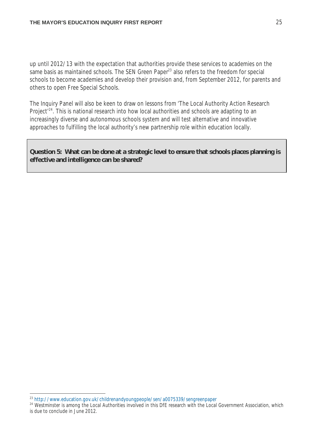up until 2012/13 with the expectation that authorities provide these services to academies on the same basis as maintained schools. The SEN Green Paper<sup>23</sup> also refers to the freedom for special schools to become academies and develop their provision and, from September 2012, for parents and others to open Free Special Schools.

The Inquiry Panel will also be keen to draw on lessons from 'The Local Authority Action Research Project<sup>'24</sup>. This is national research into how local authorities and schools are adapting to an increasingly diverse and autonomous schools system and will test alternative and innovative approaches to fulfilling the local authority's new partnership role within education locally.

**Question 5: What can be done at a strategic level to ensure that schools places planning is effective and intelligence can be shared?**

 $\overline{a}$ <sup>23</sup> http://www.education.gov.uk/childrenandyoungpeople/sen/a0075339/sengreenpaper

<sup>&</sup>lt;sup>24</sup> Westminster is among the Local Authorities involved in this DfE research with the Local Government Association, which is due to conclude in June 2012.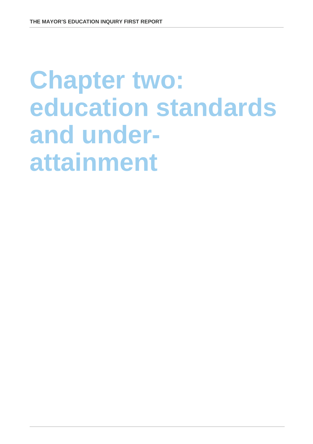## **Chapter two: education standards and underattainment**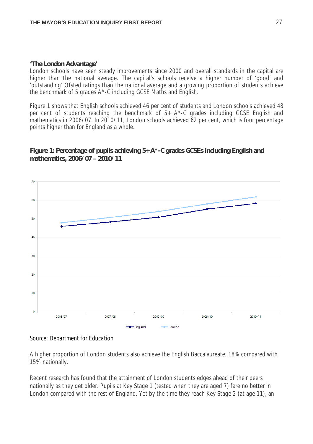#### **'The London Advantage'**

London schools have seen steady improvements since 2000 and overall standards in the capital are higher than the national average. The capital's schools receive a higher number of 'good' and 'outstanding' Ofsted ratings than the national average and a growing proportion of students achieve the benchmark of 5 grades A\*-C including GCSE Maths and English.

Figure 1 shows that English schools achieved 46 per cent of students and London schools achieved 48 per cent of students reaching the benchmark of 5+ A\*-C grades including GCSE English and mathematics in 2006/07. In 2010/11, London schools achieved 62 per cent, which is four percentage points higher than for England as a whole.

#### **Figure 1: Percentage of pupils achieving 5+ A\*-C grades GCSEs including English and mathematics, 2006/07 – 2010/11**



#### *Source: Department for Education*

A higher proportion of London students also achieve the English Baccalaureate; 18% compared with 15% nationally.

Recent research has found that the attainment of London students edges ahead of their peers nationally as they get older. Pupils at Key Stage 1 (tested when they are aged 7) fare no better in London compared with the rest of England. Yet by the time they reach Key Stage 2 (at age 11), an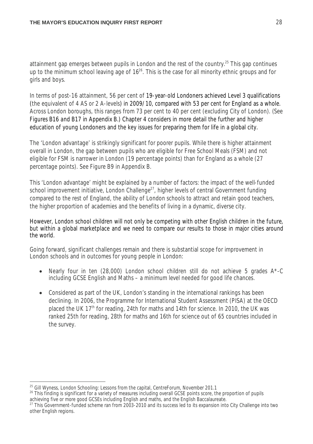attainment gap emerges between pupils in London and the rest of the country.<sup>25</sup> This gap continues up to the minimum school leaving age of  $16<sup>26</sup>$ . This is the case for all minority ethnic groups and for girls and boys.

In terms of post-16 attainment, 56 per cent of 19-year-old Londoners achieved Level 3 qualifications (the equivalent of 4 AS or 2 A-levels) in 2009/10, compared with 53 per cent for England as a whole. Across London boroughs, this ranges from 73 per cent to 40 per cent (excluding City of London). (*See Figures B16 and B17 in Appendix B.)* Chapter 4 considers in more detail the further and higher education of young Londoners and the key issues for preparing them for life in a global city.

The 'London advantage' is strikingly significant for poorer pupils. While there is higher attainment overall in London, the gap between pupils who are eligible for Free School Meals (FSM) and not eligible for FSM is narrower in London (19 percentage points) than for England as a whole (27 percentage points). See Figure B9 in Appendix B.

This 'London advantage' might be explained by a number of factors: the impact of the well-funded school improvement initiative, London Challenge<sup>27</sup>, higher levels of central Government funding compared to the rest of England, the ability of London schools to attract and retain good teachers, the higher proportion of academies and the benefits of living in a dynamic, diverse city.

However, London school children will not only be competing with other English children in the future, but within a global marketplace and we need to compare our results to those in major cities around the world.

Going forward, significant challenges remain and there is substantial scope for improvement in London schools and in outcomes for young people in London:

- Nearly four in ten  $(28,000)$  London school children still do not achieve 5 grades  $A^*$ -C including GCSE English and Maths – a minimum level needed for good life chances.
- Considered as part of the UK, London's standing in the international rankings has been declining. In 2006, the Programme for International Student Assessment (PISA) at the OECD placed the UK 17<sup>th</sup> for reading, 24th for maths and 14th for science. In 2010, the UK was ranked 25th for reading, 28th for maths and 16th for science out of 65 countries included in the survey.

j <sup>25</sup> Gill Wyness, London Schooling: Lessons from the capital, CentreForum, November 201.1

<sup>&</sup>lt;sup>26</sup> This finding is significant for a variety of measures including overall GCSE points score, the proportion of pupils achieving five or more good GCSEs including English and maths, and the English Baccalaureate.

<sup>&</sup>lt;sup>27</sup> This Government-funded scheme ran from 2003-2010 and its success led to its expansion into City Challenge into two other English regions.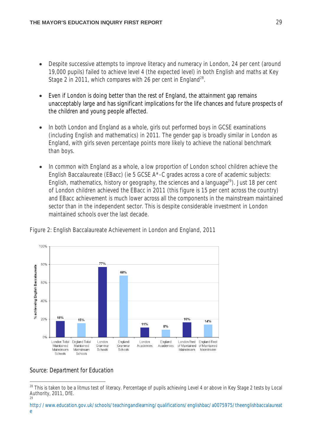- Despite successive attempts to improve literacy and numeracy in London, 24 per cent (around 19,000 pupils) failed to achieve level 4 (the expected level) in both English and maths at Key Stage 2 in 2011, which compares with 26 per cent in England<sup>28</sup>.
- Even if London is doing better than the rest of England, the attainment gap remains unacceptably large and has significant implications for the life chances and future prospects of the children and young people affected.
- In both London and England as a whole, girls out performed boys in GCSE examinations (including English and mathematics) in 2011. The gender gap is broadly similar in London as England, with girls seven percentage points more likely to achieve the national benchmark than boys.
- In common with England as a whole, a low proportion of London school children achieve the English Baccalaureate (EBacc) (ie 5 GCSE A\*-C grades across a core of academic subjects: English, mathematics, history or geography, the sciences and a language<sup>29</sup>). Just 18 per cent of London children achieved the EBacc in 2011 (this figure is 15 per cent across the country) and EBacc achievement is much lower across all the components in the mainstream maintained sector than in the independent sector. This is despite considerable investment in London maintained schools over the last decade.



Figure 2: English Baccalaureate Achievement in London and England, 2011

#### *Source: Department for Education*

j <sup>28</sup> This is taken to be a litmus test of literacy. Percentage of pupils achieving Level 4 or above in Key Stage 2 tests by Local Authority, 2011, DfE. 29

http://www.education.gov.uk/schools/teachingandlearning/qualifications/englishbac/a0075975/theenglishbaccalaureat e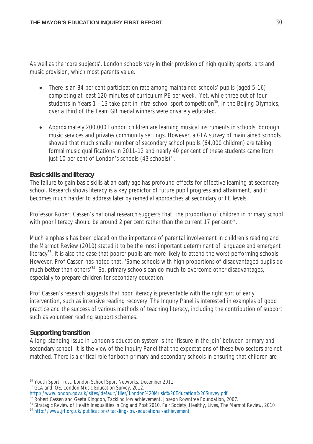As well as the 'core subjects', London schools vary in their provision of high quality sports, arts and music provision, which most parents value.

- There is an 84 per cent participation rate among maintained schools' pupils (aged 5-16) completing at least 120 minutes of curriculum PE per week. Yet, while three out of four students in Years 1 - 13 take part in intra-school sport competition<sup>30</sup>, in the Beijing Olympics, over a third of the Team GB medal winners were privately educated.
- Approximately 200,000 London children are learning musical instruments in schools, borough music services and private/community settings. However, a GLA survey of maintained schools showed that much smaller number of secondary school pupils (64,000 children) are taking formal music qualifications in 2011-12 and nearly 40 per cent of these students came from just 10 per cent of London's schools  $(43$  schools) $^{31}$ .

#### **Basic skills and literacy**

The failure to gain basic skills at an early age has profound effects for effective learning at secondary school. Research shows literacy is a key predictor of future pupil progress and attainment, and it becomes much harder to address later by remedial approaches at secondary or FE levels.

Professor Robert Cassen's national research suggests that, the proportion of children in primary school with poor literacy should be around 2 per cent rather than the current 17 per cent<sup>32</sup>.

Much emphasis has been placed on the importance of parental involvement in children's reading and the Marmot Review (2010) stated it to be the most important determinant of language and emergent literacy<sup>33</sup>. It is also the case that poorer pupils are more likely to attend the worst performing schools. However, Prof Cassen has noted that, 'Some schools with high proportions of disadvantaged pupils do much better than others<sup>34</sup>. So, primary schools can do much to overcome other disadvantages, especially to prepare children for secondary education.

Prof Cassen's research suggests that poor literacy is preventable with the right sort of early intervention, such as intensive reading recovery. The Inquiry Panel is interested in examples of good practice and the success of various methods of teaching literacy, including the contribution of support such as volunteer reading support schemes.

#### **Supporting transition**

A long-standing issue in London's education system is the 'fissure in the join' between primary and secondary school. It is the view of the Inquiry Panel that the expectations of these two sectors are not matched. There is a critical role for both primary and secondary schools in ensuring that children are

<sup>31</sup> GLA and IOE, London Music Education Survey, 2012.

 $\overline{a}$ <sup>30</sup> Youth Sport Trust, London School Sport Networks, December 2011.

http://www.london.gov.uk/sites/default/files/London%20Music%20Education%20Survey.pdf

<sup>&</sup>lt;sup>32</sup> Robert Cassen and Geeta Kingdon, Tackling low achievement, Joseph Rowntree Foundation, 2007.

<sup>33</sup> Strategic Review of Health Inequalities in England Post 2010, Fair Society, Healthy, Lives, The Marmot Review, 2010

<sup>&</sup>lt;sup>34</sup> http://www.jrf.org.uk/publications/tackling-low-educational-achievement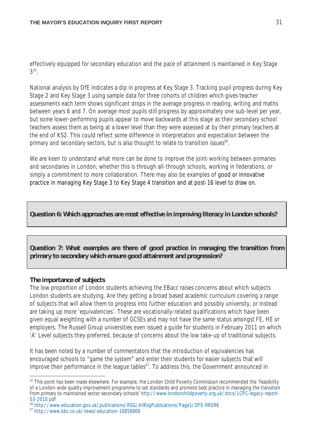effectively equipped for secondary education and the pace of attainment is maintained in Key Stage  $3^{35}$ .

National analysis by DfE indicates a dip in progress at Key Stage 3. Tracking pupil progress during Key Stage 2 and Key Stage 3 using sample data for three cohorts of children which gives teacher assessments each term shows significant drops in the average progress in reading, writing and maths between years 6 and 7. On average most pupils still progress by approximately one sub-level per year, but some lower-performing pupils appear to move backwards at this stage as their secondary school teachers assess them as being at a lower level than they were assessed at by their primary teachers at the end of KS2. This could reflect some difference in interpretation and expectation between the primary and secondary sectors, but is also thought to relate to transition issues<sup>36</sup>.

We are keen to understand what more can be done to improve the joint-working between primaries and secondaries in London; whether this is through all-through schools, working in federations, or simply a commitment to more collaboration. There may also be examples of good or innovative practice in managing Key Stage 3 to Key Stage 4 transition and at post-16 level to draw on.

#### **Question 6: Which approaches are most effective in improving literacy in London schools?**

**Question 7: What examples are there of good practice in managing the transition from primary to secondary which ensure good attainment and progression?**

#### **The importance of subjects**

 $\overline{a}$ 

The low proportion of London students achieving the EBacc raises concerns about which subjects London students are studying. Are they getting a broad based academic curriculum covering a range of subjects that will allow them to progress into further education and possibly university, or instead are taking up more 'equivalencies'. These are vocationally-related qualifications which have been given equal weighting with a number of GCSEs and may not have the same status amongst FE, HE or employers. The Russell Group universities even issued a guide for students in February 2011 on which 'A' Level subjects they preferred, because of concerns about the low take-up of traditional subjects.

It has been noted by a number of commentators that the introduction of equivalencies has encouraged schools to "game the system" and enter their students for easier subjects that will improve their performance in the league tables<sup>37</sup>. To address this, the Government announced in

<sup>&</sup>lt;sup>35</sup> This point has been made elsewhere. For example, the London Child Poverty Commission recommended the 'feasibility of a London-wide quality improvement programme to set standards and promote best practice in managing the transition from primary to maintained sector secondary schools' http://www.londonchildpoverty.org.uk/docs/LCPC-legacy-report-03-2010.pdf

<sup>36</sup> http://www.education.gov.uk/publications/RSG/AllRsgPublications/Page1/DFE-RR096

<sup>37</sup> http://www.bbc.co.uk/news/education-16858868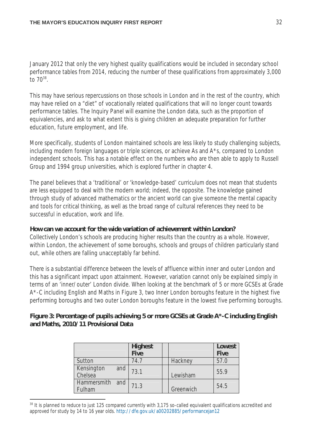January 2012 that only the very highest quality qualifications would be included in secondary school performance tables from 2014, reducing the number of these qualifications from approximately 3,000 to  $70^{38}$ .

This may have serious repercussions on those schools in London and in the rest of the country, which may have relied on a "diet" of vocationally related qualifications that will no longer count towards performance tables. The Inquiry Panel will examine the London data, such as the proportion of equivalencies, and ask to what extent this is giving children an adequate preparation for further education, future employment, and life.

More specifically, students of London maintained schools are less likely to study challenging subjects, including modern foreign languages or triple sciences, or achieve As and A\*s, compared to London independent schools. This has a notable effect on the numbers who are then able to apply to Russell Group and 1994 group universities, which is explored further in chapter 4.

The panel believes that a 'traditional' or 'knowledge-based' curriculum does not mean that students are less equipped to deal with the modern world; indeed, the opposite. The knowledge gained through study of advanced mathematics or the ancient world can give someone the mental capacity and tools for critical thinking, as well as the broad range of cultural references they need to be successful in education, work and life.

#### **How can we account for the wide variation of achievement within London?**

Collectively London's schools are producing higher results than the country as a whole. However, within London, the achievement of some boroughs, schools and groups of children particularly stand out, while others are falling unacceptably far behind.

There is a substantial difference between the levels of affluence within inner and outer London and this has a significant impact upon attainment. However, variation cannot only be explained simply in terms of an 'inner/outer' London divide. When looking at the benchmark of 5 or more GCSEs at Grade A\*-C including English and Maths in Figure 3, two Inner London boroughs feature in the highest five performing boroughs and two outer London boroughs feature in the lowest five performing boroughs.

#### **Figure 3: Percentage of pupils achieving 5 or more GCSEs at Grade A\*-C including English and Maths, 2010/11 Provisional Data**

|                              | <b>Highest</b><br><b>Five</b> |           | Lowest<br><b>Five</b> |
|------------------------------|-------------------------------|-----------|-----------------------|
| Sutton                       | 74.7                          | Hackney   | 57.0                  |
| Kensington<br>and<br>Chelsea | 73.1                          | Lewisham  | 55.9                  |
| and<br>Hammersmith<br>Fulham | 71.3                          | Greenwich | 54.5                  |

<sup>&</sup>lt;sup>38</sup> It is planned to reduce to just 125 compared currently with 3,175 so-called equivalent qualifications accredited and approved for study by 14 to 16 year olds. http://dfe.gov.uk/a00202885/performancejan12

 $\overline{a}$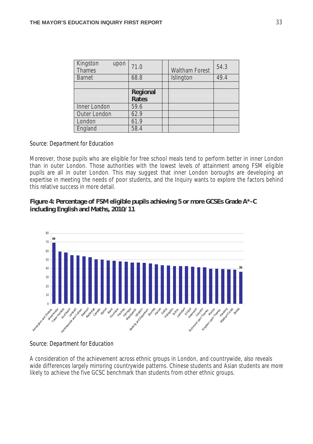| Kingston<br>upon<br><b>Thames</b> | 71.0                            | <b>Waltham Forest</b> | 54.3 |
|-----------------------------------|---------------------------------|-----------------------|------|
| <b>Barnet</b>                     | 68.8                            | Islington             | 49.4 |
|                                   |                                 |                       |      |
|                                   | <b>Regional</b><br><b>Rates</b> |                       |      |
| Inner London                      | 59.6                            |                       |      |
| Outer London                      | 62.9                            |                       |      |
| London                            | 61.9                            |                       |      |
| England                           | 58.4                            |                       |      |

#### *Source: Department for Education*

Moreover, those pupils who are eligible for free school meals tend to perform better in inner London than in outer London. Those authorities with the lowest levels of attainment among FSM eligible pupils are all in outer London. This may suggest that inner London boroughs are developing an expertise in meeting the needs of poor students, and the Inquiry wants to explore the factors behind this relative success in more detail.

#### **Figure 4: Percentage of FSM eligible pupils achieving 5 or more GCSEs Grade A\*-C including English and Maths, 2010/11**



*Source: Department for Education*

A consideration of the achievement across ethnic groups in London, and countrywide, also reveals wide differences largely mirroring countrywide patterns. Chinese students and Asian students are more likely to achieve the five GCSC benchmark than students from other ethnic groups.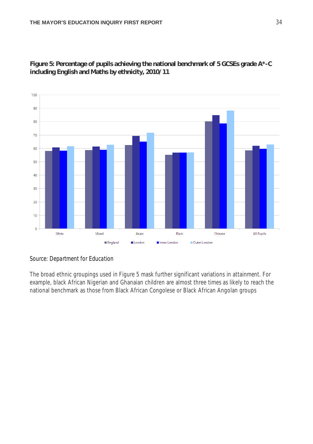

**Figure 5: Percentage of pupils achieving the national benchmark of 5 GCSEs grade A\*-C including English and Maths by ethnicity, 2010/11**

## *Source: Department for Education*

The broad ethnic groupings used in Figure 5 mask further significant variations in attainment. For example, black African Nigerian and Ghanaian children are almost three times as likely to reach the national benchmark as those from Black African Congolese or Black African Angolan groups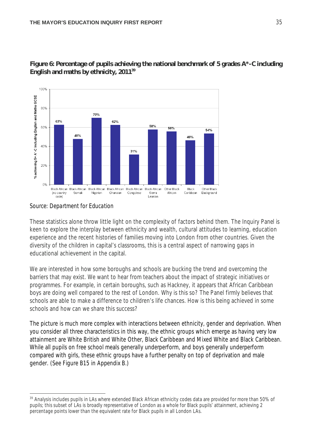

**Figure 6: Percentage of pupils achieving the national benchmark of 5 grades A\*-C including English and maths by ethnicity, 2011<sup>39</sup>**

## *Source: Department for Education*

These statistics alone throw little light on the complexity of factors behind them. The Inquiry Panel is keen to explore the interplay between ethnicity and wealth, cultural attitudes to learning, education experience and the recent histories of families moving into London from other countries. Given the diversity of the children in capital's classrooms, this is a central aspect of narrowing gaps in educational achievement in the capital.

We are interested in how some boroughs and schools are bucking the trend and overcoming the barriers that may exist. We want to hear from teachers about the impact of strategic initiatives or programmes. For example, in certain boroughs, such as Hackney, it appears that African Caribbean boys are doing well compared to the rest of London. Why is this so? The Panel firmly believes that schools are able to make a difference to children's life chances. How is this being achieved in some schools and how can we share this success?

The picture is much more complex with interactions between ethnicity, gender and deprivation. When you consider all three characteristics in this way, the ethnic groups which emerge as having very low attainment are White British and White Other, Black Caribbean and Mixed White and Black Caribbean. While all pupils on free school meals generally underperform, and boys generally underperform compared with girls, these ethnic groups have a further penalty on top of deprivation and male gender. (*See Figure B15 in Appendix B.)*

 $\overline{a}$ <sup>39</sup> Analysis includes pupils in LAs where extended Black African ethnicity codes data are provided for more than 50% of pupils; this subset of LAs is broadly representative of London as a whole for Black pupils' attainment, achieving 2 percentage points lower than the equivalent rate for Black pupils in all London LAs.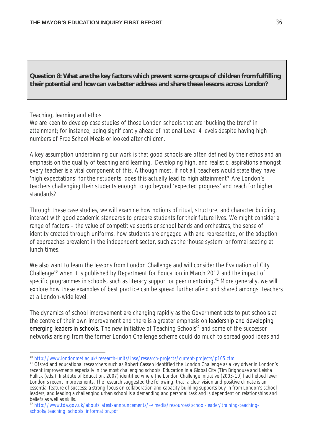**Question 8: What are the key factors which prevent some groups of children from fulfilling their potential and how can we better address and share these lessons across London?**

#### Teaching, learning and ethos

We are keen to develop case studies of those London schools that are 'bucking the trend' in attainment; for instance, being significantly ahead of national Level 4 levels despite having high numbers of Free School Meals or looked after children.

A key assumption underpinning our work is that good schools are often defined by their ethos and an emphasis on the quality of teaching and learning. Developing high, and realistic, aspirations amongst every teacher is a vital component of this. Although most, if not all, teachers would state they have 'high expectations' for their students, does this actually lead to high attainment? Are London's teachers challenging their students enough to go beyond 'expected progress' and reach for higher standards?

Through these case studies, we will examine how notions of ritual, structure, and character building, interact with good academic standards to prepare students for their future lives. We might consider a range of factors – the value of competitive sports or school bands and orchestras, the sense of identity created through uniforms, how students are engaged with and represented, or the adoption of approaches prevalent in the independent sector, such as the 'house system' or formal seating at lunch times.

We also want to learn the lessons from London Challenge and will consider the Evaluation of City Challenge<sup>40</sup> when it is published by Department for Education in March 2012 and the impact of specific programmes in schools, such as literacy support or peer mentoring.<sup>41</sup> More generally, we will explore how these examples of best practice can be spread further afield and shared amongst teachers at a London-wide level.

The dynamics of school improvement are changing rapidly as the Government acts to put schools at the centre of their own improvement and there is a greater emphasis on leadership and developing emerging leaders in schools. The new initiative of Teaching Schools<sup>42</sup> and some of the successor networks arising from the former London Challenge scheme could do much to spread good ideas and

 $\overline{a}$ <sup>40</sup> http://www.londonmet.ac.uk/research-units/ipse/research-projects/current-projects/p105.cfm

<sup>&</sup>lt;sup>41</sup> Ofsted and educational researchers such as Robert Cassen identified the London Challenge as a key driver in London's recent improvements especially in the most challenging schools. *Education in a Global City (*Tim Brighouse and Leisha Fullick (eds.), Institute of Education, 2007) identified where the London Challenge initiative (2003-10) had helped lever London's recent improvements. The research suggested the following, that: a clear vision and positive climate is an essential feature of success; a strong focus on collaboration and capacity building supports buy in from London's school leaders; and leading a challenging urban school is a demanding and personal task and is dependent on relationships and beliefs as well as skills.

<sup>42</sup> http://www.tda.gov.uk/about/latest-announcements/~/media/resources/school-leader/training-teachingschools/teaching\_schools\_information.pdf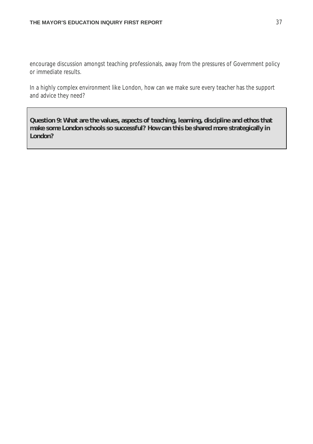encourage discussion amongst teaching professionals, away from the pressures of Government policy or immediate results.

In a highly complex environment like London, how can we make sure every teacher has the support and advice they need?

**Question 9: What are the values, aspects of teaching, learning, discipline and ethos that make some London schools so successful? How can this be shared more strategically in London?**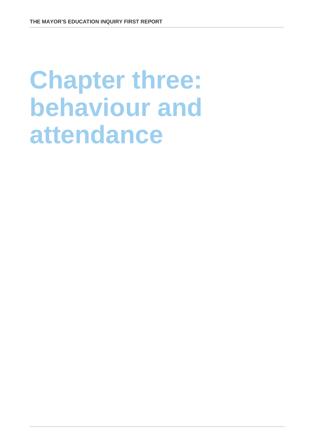# **Chapter three: behaviour and attendance**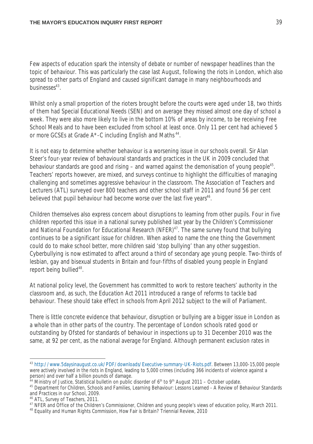Few aspects of education spark the intensity of debate or number of newspaper headlines than the topic of behaviour. This was particularly the case last August, following the riots in London, which also spread to other parts of England and caused significant damage in many neighbourhoods and businesses<sup>43</sup>.

Whilst only a small proportion of the rioters brought before the courts were aged under 18, two thirds of them had Special Educational Needs (SEN) and on average they missed almost one day of school a week. They were also more likely to live in the bottom 10% of areas by income, to be receiving Free School Meals and to have been excluded from school at least once. Only 11 per cent had achieved 5 or more GCSEs at Grade A\*-C including English and Maths<sup>44</sup>.

It is not easy to determine whether behaviour is a worsening issue in our schools overall. Sir Alan Steer's four-year review of behavioural standards and practices in the UK in 2009 concluded that behaviour standards are good and rising  $-$  and warned against the demonisation of young people<sup>45</sup>. Teachers' reports however, are mixed, and surveys continue to highlight the difficulties of managing challenging and sometimes aggressive behaviour in the classroom. The Association of Teachers and Lecturers (ATL) surveyed over 800 teachers and other school staff in 2011 and found 56 per cent believed that pupil behaviour had become worse over the last five years<sup>46</sup>.

Children themselves also express concern about disruptions to learning from other pupils. Four in five children reported this issue in a national survey published last year by the Children's Commissioner and National Foundation for Educational Research (NFER)<sup>47</sup>. The same survey found that bullying continues to be a significant issue for children. When asked to name the one thing the Government could do to make school better, more children said 'stop bullying' than any other suggestion. Cyberbullying is now estimated to affect around a third of secondary age young people. Two-thirds of lesbian, gay and bisexual students in Britain and four-fifths of disabled young people in England report being bullied<sup>48</sup>.

At national policy level, the Government has committed to work to restore teachers' authority in the classroom and, as such, the *Education Act* 2011 introduced a range of reforms to tackle bad behaviour. These should take effect in schools from April 2012 subject to the will of Parliament.

There is little concrete evidence that behaviour, disruption or bullying are a bigger issue in London as a whole than in other parts of the country. The percentage of London schools rated good or outstanding by Ofsted for standards of behaviour in inspections up to 31 December 2010 was the same, at 92 per cent, as the national average for England. Although permanent exclusion rates in

 $\overline{a}$ 

<sup>43</sup> http://www.5daysinaugust.co.uk/PDF/downloads/Executive-summary-UK-Riots.pdf. Between 13,000-15,000 people were actively involved in the riots in England, leading to 5,000 crimes (including 366 incidents of violence against a person) and over half a billion pounds of damage.

 $^{44}$  Ministry of Justice, Statistical bulletin on public disorder of 6<sup>th</sup> to 9<sup>th</sup> August 2011 – October update.

<sup>45</sup> Department for Children, Schools and Families, Learning Behaviour: Lessons Learned - A Review of Behaviour Standards and Practices in our School, 2009.

<sup>46</sup> ATL, Survey of Teachers, 2011.

<sup>&</sup>lt;sup>47</sup> NFER and Office of the Children's Commissioner, Children and young people's views of education policy, March 2011.

<sup>&</sup>lt;sup>48</sup> Equality and Human Rights Commission, How Fair is Britain? Triennial Review, 2010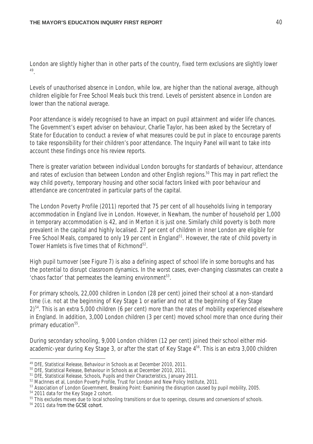London are slightly higher than in other parts of the country, fixed term exclusions are slightly lower 49 .

Levels of unauthorised absence in London, while low, are higher than the national average, although children eligible for Free School Meals buck this trend. Levels of persistent absence in London are lower than the national average.

Poor attendance is widely recognised to have an impact on pupil attainment and wider life chances. The Government's expert adviser on behaviour, Charlie Taylor, has been asked by the Secretary of State for Education to conduct a review of what measures could be put in place to encourage parents to take responsibility for their children's poor attendance. The Inquiry Panel will want to take into account these findings once his review reports.

There is greater variation between individual London boroughs for standards of behaviour, attendance and rates of exclusion than between London and other English regions.<sup>50</sup> This may in part reflect the way child poverty, temporary housing and other social factors linked with poor behaviour and attendance are concentrated in particular parts of the capital.

The London Poverty Profile (2011) reported that 75 per cent of all households living in temporary accommodation in England live in London. However, in Newham, the number of household per 1,000 in temporary accommodation is 42, and in Merton it is just one. Similarly child poverty is both more prevalent in the capital and highly localised. 27 per cent of children in inner London are eligible for Free School Meals, compared to only 19 per cent in England<sup>51</sup>. However, the rate of child poverty in Tower Hamlets is five times that of Richmond<sup>52</sup>.

High pupil turnover (see Figure 7) is also a defining aspect of school life in some boroughs and has the potential to disrupt classroom dynamics. In the worst cases, ever-changing classmates can create a 'chaos factor' that permeates the learning environment $53$ .

For primary schools, 22,000 children in London (28 per cent) joined their school at a non-standard time (i.e. not at the beginning of Key Stage 1 or earlier and not at the beginning of Key Stage 2)<sup>54</sup>. This is an extra 5,000 children (6 per cent) more than the rates of mobility experienced elsewhere in England. In addition, 3,000 London children (3 per cent) moved school more than once during their primary education<sup>55</sup>.

During secondary schooling, 9,000 London children (12 per cent) joined their school either midacademic-year during Key Stage 3, or after the start of Key Stage 4<sup>56</sup>. This is an extra 3,000 children

 $\overline{a}$ <sup>49</sup> DfE, Statistical Release, Behaviour in Schools as at December 2010, 2011.

<sup>50</sup> DfE, Statistical Release, Behaviour in Schools as at December 2010, 2011.

<sup>51</sup> DfE, Statistical Release, Schools, Pupils and their Characteristics, January 2011.

<sup>&</sup>lt;sup>52</sup> MacInnes et al, London Poverty Profile, Trust for London and New Policy Institute, 2011.

<sup>&</sup>lt;sup>53</sup> Association of London Government, Breaking Point: Examining the disruption caused by pupil mobility, 2005.

<sup>54</sup> 2011 data for the Key Stage 2 cohort.

<sup>&</sup>lt;sup>55</sup> This excludes moves due to local schooling transitions or due to openings, closures and conversions of schools.

<sup>56</sup> 2011 data from the GCSE cohort.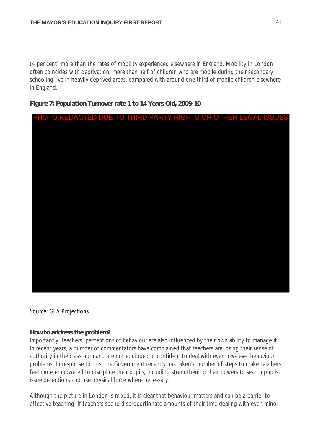(4 per cent) more than the rates of mobility experienced elsewhere in England. Mobility in London often coincides with deprivation: more than half of children who are mobile during their secondary schooling live in heavily deprived areas, compared with around one third of mobile children elsewhere in England.

## **Figure 7: Population Turnover rate 1 to 14 Years Old, 2009-10**



*Source: GLA Projections*

## **How to address the problem?**

Importantly, teachers' perceptions of behaviour are also influenced by their own ability to manage it. In recent years, a number of commentators have complained that teachers are losing their sense of authority in the classroom and are not equipped or confident to deal with even low-level behaviour problems. In response to this, the Government recently has taken a number of steps to make teachers feel more empowered to discipline their pupils, including strengthening their powers to search pupils, issue detentions and use physical force where necessary.

Although the picture in London is mixed, it is clear that behaviour matters and can be a barrier to effective teaching. If teachers spend disproportionate amounts of their time dealing with even minor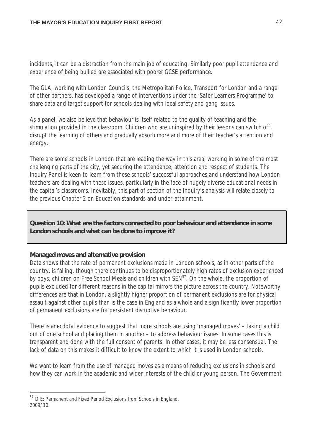incidents, it can be a distraction from the main job of educating. Similarly poor pupil attendance and experience of being bullied are associated with poorer GCSE performance.

The GLA, working with London Councils, the Metropolitan Police, Transport for London and a range of other partners, has developed a range of interventions under the 'Safer Learners Programme' to share data and target support for schools dealing with local safety and gang issues.

As a panel, we also believe that behaviour is itself related to the quality of teaching and the stimulation provided in the classroom. Children who are uninspired by their lessons can switch off, disrupt the learning of others and gradually absorb more and more of their teacher's attention and energy.

There are some schools in London that are leading the way in this area, working in some of the most challenging parts of the city, yet securing the attendance, attention and respect of students. The Inquiry Panel is keen to learn from these schools' successful approaches and understand how London teachers are dealing with these issues, particularly in the face of hugely diverse educational needs in the capital's classrooms. Inevitably, this part of section of the Inquiry's analysis will relate closely to the previous Chapter 2 on Education standards and under-attainment.

**Question 10: What are the factors connected to poor behaviour and attendance in some London schools and what can be done to improve it?** 

## **Managed moves and alternative provision**

Data shows that the rate of permanent exclusions made in London schools, as in other parts of the country, is falling, though there continues to be disproportionately high rates of exclusion experienced by boys, children on Free School Meals and children with SEN<sup>57</sup>. On the whole, the proportion of pupils excluded for different reasons in the capital mirrors the picture across the country. Noteworthy differences are that in London, a slightly higher proportion of permanent exclusions are for physical assault against other pupils than is the case in England as a whole and a significantly lower proportion of permanent exclusions are for persistent disruptive behaviour.

There is anecdotal evidence to suggest that more schools are using 'managed moves' – taking a child out of one school and placing them in another – to address behaviour issues. In some cases this is transparent and done with the full consent of parents. In other cases, it may be less consensual. The lack of data on this makes it difficult to know the extent to which it is used in London schools.

We want to learn from the use of managed moves as a means of reducing exclusions in schools and how they can work in the academic and wider interests of the child or young person. The Government

j <sup>57</sup> DfE: Permanent and Fixed Period Exclusions from Schools in England, 2009/10.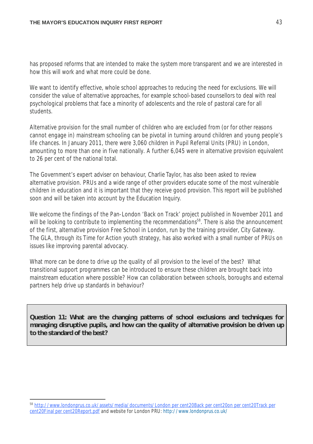has proposed reforms that are intended to make the system more transparent and we are interested in how this will work and what more could be done.

We want to identify effective, whole school approaches to reducing the need for exclusions. We will consider the value of alternative approaches, for example school-based counsellors to deal with real psychological problems that face a minority of adolescents and the role of pastoral care for all students.

Alternative provision for the small number of children who are excluded from (or for other reasons cannot engage in) mainstream schooling can be pivotal in turning around children and young people's life chances. In January 2011, there were 3,060 children in Pupil Referral Units (PRU) in London, amounting to more than one in five nationally. A further 6,045 were in alternative provision equivalent to 26 per cent of the national total.

The Government's expert adviser on behaviour, Charlie Taylor, has also been asked to review alternative provision. PRUs and a wide range of other providers educate some of the most vulnerable children in education and it is important that they receive good provision. This report will be published soon and will be taken into account by the Education Inquiry.

We welcome the findings of the Pan-London 'Back on Track' project published in November 2011 and will be looking to contribute to implementing the recommendations<sup>58</sup>. There is also the announcement of the first, alternative provision Free School in London, run by the training provider, City Gateway. The GLA, through its Time for Action youth strategy, has also worked with a small number of PRUs on issues like improving parental advocacy.

What more can be done to drive up the quality of all provision to the level of the best? What transitional support programmes can be introduced to ensure these children are brought back into mainstream education where possible? How can collaboration between schools, boroughs and external partners help drive up standards in behaviour?

**Question 11: What are the changing patterns of school exclusions and techniques for managing disruptive pupils, and how can the quality of alternative provision be driven up to the standard of the best?**

 $\overline{a}$ 

<sup>&</sup>lt;sup>58</sup> http://www.londonprus.co.uk/assets/media/documents/London per cent20Back per cent20on per cent20Track per cent20Final per cent20Report.pdf and website for London PRU: http://www.londonprus.co.uk/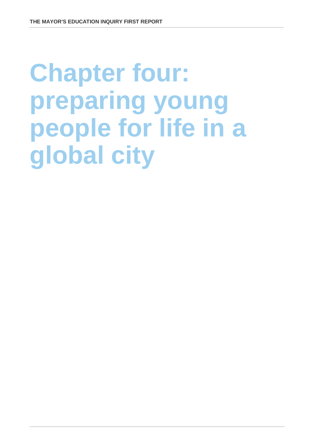# **Chapter four: preparing young people for life in a global city**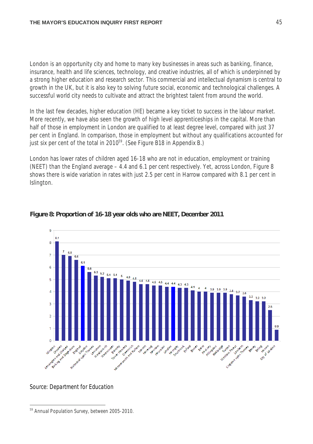London is an opportunity city and home to many key businesses in areas such as banking, finance, insurance, health and life sciences, technology, and creative industries, all of which is underpinned by a strong higher education and research sector. This commercial and intellectual dynamism is central to growth in the UK, but it is also key to solving future social, economic and technological challenges. A successful world city needs to cultivate and attract the brightest talent from around the world.

In the last few decades, higher education (HE) became a key ticket to success in the labour market. More recently, we have also seen the growth of high level apprenticeships in the capital. More than half of those in employment in London are qualified to at least degree level, compared with just 37 per cent in England. In comparison, those in employment but without any qualifications accounted for just six per cent of the total in 2010<sup>59</sup>. (*See Figure B18 in Appendix B.*)

London has lower rates of children aged 16-18 who are not in education, employment or training (NEET) than the England average – 4.4 and 6.1 per cent respectively. Yet, across London, Figure 8 shows there is wide variation in rates with just 2.5 per cent in Harrow compared with 8.1 per cent in Islington.



## **Figure 8: Proportion of 16-18 year olds who are NEET, December 2011**

*Source: Department for Education*

 $\overline{a}$ 59 Annual Population Survey, between 2005-2010.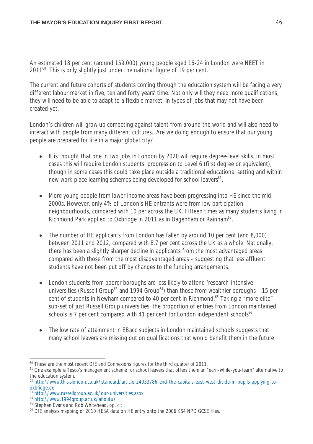An estimated 18 per cent (around 159,000) young people aged 16-24 in London were NEET in 2011<sup>60</sup>. This is only slightly just under the national figure of 19 per cent.

The current and future cohorts of students coming through the education system will be facing a very different labour market in five, ten and forty years' time. Not only will they need more qualifications, they will need to be able to adapt to a flexible market, in types of jobs that may not have been created yet.

London's children will grow up competing against talent from around the world and will also need to interact with people from many different cultures. Are we doing enough to ensure that our young people are prepared for life in a major global city?

- It is thought that one in two jobs in London by 2020 will require degree-level skills. In most cases this will require London students' progression to Level 6 (first degree or equivalent), though in some cases this could take place outside a traditional educational setting and within new work place learning schemes being developed for school leavers<sup>61</sup>.
- More young people from lower income areas have been progressing into HE since the mid-2000s. However, only 4% of London's HE entrants were from low participation neighbourhoods, compared with 10 per across the UK. Fifteen times as many students living in Richmond Park applied to Oxbridge in 2011 as in Dagenham or Rainham<sup>62</sup>.
- The number of HE applicants from London has fallen by around 10 per cent (and 8,000) between 2011 and 2012, compared with 8.7 per cent across the UK as a whole. Nationally, there has been a slightly sharper decline in applicants from the most advantaged areas compared with those from the most disadvantaged areas – suggesting that less affluent students have not been put off by changes to the funding arrangements.
- London students from poorer boroughs are less likely to attend 'research-intensive' universities (Russell Group<sup>63</sup> and 1994 Group<sup>64</sup>) than those from wealthier boroughs – 15 per cent of students in Newham compared to 40 per cent in Richmond.<sup>65</sup> Taking a "more elite" sub-set of just Russell Group universities, the proportion of entries from London maintained schools is 7 per cent compared with 41 per cent for London independent schools<sup>66</sup>.
- The low rate of attainment in EBacc subjects in London maintained schools suggests that many school leavers are missing out on qualifications that would benefit them in the future

 $\overline{a}$  $60$  These are the most recent DfE and Connexions figures for the third quarter of 2011.

<sup>&</sup>lt;sup>61</sup> One example is Tesco's management scheme for school leavers that offers them an "earn-while-you-learn" alternative to the education system.

<sup>62</sup> http://www.thisislondon.co.uk/standard/article-24033786-end-the-capitals-east-west-divide-in-pupils-applying-tooxbridge.do

<sup>63</sup> http://www.russellgroup.ac.uk/our-universities.aspx

<sup>64</sup> http://www.1994group.ac.uk/aboutus

<sup>&</sup>lt;sup>65</sup> Stephen Evans and Rob Whitehead, op. cit

<sup>&</sup>lt;sup>66</sup> DfE analysis mapping of 2010 HESA data on HE entry onto the 2006 KS4 NPD GCSE files.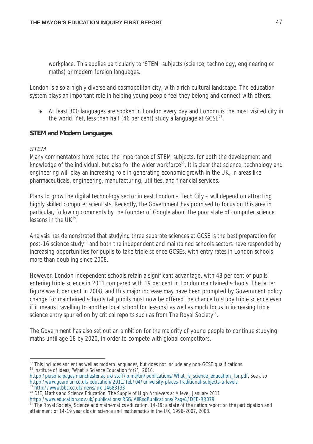workplace. This applies particularly to 'STEM' subjects (science, technology, engineering or maths) or modern foreign languages.

London is also a highly diverse and cosmopolitan city, with a rich cultural landscape. The education system plays an important role in helping young people feel they belong and connect with others.

 At least 300 languages are spoken in London every day and London is the most visited city in the world. Yet, less than half (46 per cent) study a language at  $GCSE^{67}$ .

## **STEM and Modern Languages**

### *STEM*

Many commentators have noted the importance of STEM subjects, for both the development and knowledge of the individual, but also for the wider workforce<sup>68</sup>. It is clear that science, technology and engineering will play an increasing role in generating economic growth in the UK, in areas like pharmaceuticals, engineering, manufacturing, utilities, and financial services.

Plans to grow the digital technology sector in east London – Tech City – will depend on attracting highly skilled computer scientists. Recently, the Government has promised to focus on this area in particular, following comments by the founder of Google about the poor state of computer science lessons in the UK<sup>69</sup>.

Analysis has demonstrated that studying three separate sciences at GCSE is the best preparation for post-16 science study<sup>70</sup> and both the independent and maintained schools sectors have responded by increasing opportunities for pupils to take triple science GCSEs, with entry rates in London schools more than doubling since 2008.

However, London independent schools retain a significant advantage, with 48 per cent of pupils entering triple science in 2011 compared with 19 per cent in London maintained schools. The latter figure was 8 per cent in 2008, and this major increase may have been prompted by Government policy change for maintained schools (all pupils must now be offered the chance to study triple science even if it means travelling to another local school for lessons) as well as much focus in increasing triple science entry spurred on by critical reports such as from The Royal Society<sup>71</sup>.

The Government has also set out an ambition for the majority of young people to continue studying maths until age 18 by 2020, in order to compete with global competitors.

 $\overline{a}$  $67$  This includes ancient as well as modern languages, but does not include any non-GCSE qualifications. <sup>68</sup> Institute of ideas, 'What is Science Education for?', 2010.

http://personalpages.manchester.ac.uk/staff/p.martin/publications/What\_is\_science\_education\_for.pdf. See also http://www.guardian.co.uk/education/2011/feb/04/university-places-traditional-subjects-a-levels <sup>69</sup> http://www.bbc.co.uk/news/uk-14683133

<sup>&</sup>lt;sup>70</sup> DfE, Maths and Science Education: The Supply of High Achievers at A level, January 2011

http://www.education.gov.uk/publications/RSG/AllRsgPublications/Page1/DFE-RR079 <sup>71</sup> The Royal Society, Science and mathematics education, 14-19: a state of the nation report on the participation and

attainment of 14-19 year olds in science and mathematics in the UK, 1996-2007, 2008.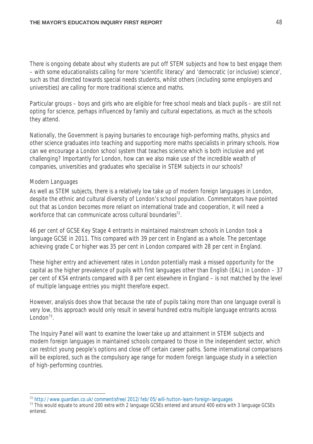There is ongoing debate about why students are put off STEM subjects and how to best engage them – with some educationalists calling for more 'scientific literacy' and 'democratic (or inclusive) science', such as that directed towards special needs students, whilst others (including some employers and universities) are calling for more traditional science and maths.

Particular groups – boys and girls who are eligible for free school meals and black pupils – are still not opting for science, perhaps influenced by family and cultural expectations, as much as the schools they attend.

Nationally, the Government is paying bursaries to encourage high-performing maths, physics and other science graduates into teaching and supporting more maths specialists in primary schools. How can we encourage a London school system that teaches science which is both inclusive and yet challenging? Importantly for London, how can we also make use of the incredible wealth of companies, universities and graduates who specialise in STEM subjects in our schools?

### *Modern Languages*

As well as STEM subjects, there is a relatively low take up of modern foreign languages in London, despite the ethnic and cultural diversity of London's school population. Commentators have pointed out that as London becomes more reliant on international trade and cooperation, it will need a workforce that can communicate across cultural boundaries<sup>72</sup>.

46 per cent of GCSE Key Stage 4 entrants in maintained mainstream schools in London took a language GCSE in 2011. This compared with 39 per cent in England as a whole. The percentage achieving grade C or higher was 35 per cent in London compared with 28 per cent in England.

These higher entry and achievement rates in London potentially mask a missed opportunity for the capital as the higher prevalence of pupils with first languages other than English (EAL) in London – 37 per cent of KS4 entrants compared with 8 per cent elsewhere in England – is not matched by the level of multiple language entries you might therefore expect.

However, analysis does show that because the rate of pupils taking more than one language overall is very low, this approach would only result in several hundred extra multiple language entrants across London $73$ .

The Inquiry Panel will want to examine the lower take up and attainment in STEM subjects and modern foreign languages in maintained schools compared to those in the independent sector, which can restrict young people's options and close off certain career paths. Some international comparisons will be explored, such as the compulsory age range for modern foreign language study in a selection of high-performing countries.

 $\overline{a}$ <sup>72</sup> http://www.guardian.co.uk/commentisfree/2012/feb/05/will-hutton-learn-foreign-languages

<sup>&</sup>lt;sup>73</sup> This would equate to around 200 extra with 2 language GCSEs entered and around 400 extra with 3 language GCSEs entered.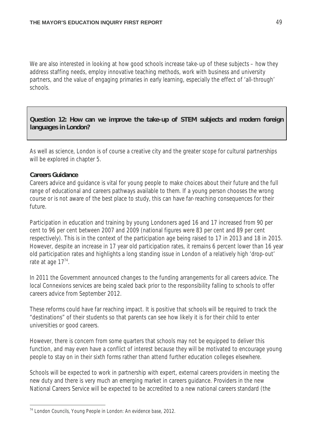We are also interested in looking at how good schools increase take-up of these subjects – how they address staffing needs, employ innovative teaching methods, work with business and university partners, and the value of engaging primaries in early learning, especially the effect of 'all-through' schools.

**Question 12: How can we improve the take-up of STEM subjects and modern foreign languages in London?**

As well as science, London is of course a creative city and the greater scope for cultural partnerships will be explored in chapter 5.

## **Careers Guidance**

 $\overline{a}$ 

Careers advice and guidance is vital for young people to make choices about their future and the full range of educational and careers pathways available to them. If a young person chooses the wrong course or is not aware of the best place to study, this can have far-reaching consequences for their future.

Participation in education and training by young Londoners aged 16 and 17 increased from 90 per cent to 96 per cent between 2007 and 2009 (national figures were 83 per cent and 89 per cent respectively). This is in the context of the participation age being raised to 17 in 2013 and 18 in 2015. However, despite an increase in 17 year old participation rates, it remains 6 percent lower than 16 year old participation rates and highlights a long standing issue in London of a relatively high 'drop-out' rate at age  $17^{74}$ .

In 2011 the Government announced changes to the funding arrangements for all careers advice. The local Connexions services are being scaled back prior to the responsibility falling to schools to offer careers advice from September 2012.

These reforms could have far reaching impact. It is positive that schools will be required to track the "destinations" of their students so that parents can see how likely it is for their child to enter universities or good careers.

However, there is concern from some quarters that schools may not be equipped to deliver this function, and may even have a conflict of interest because they will be motivated to encourage young people to stay on in their sixth forms rather than attend further education colleges elsewhere.

Schools will be expected to work in partnership with expert, external careers providers in meeting the new duty and there is very much an emerging market in careers guidance. Providers in the new National Careers Service will be expected to be accredited to a new national careers standard (the

<sup>74</sup> London Councils, Young People in London: An evidence base, 2012.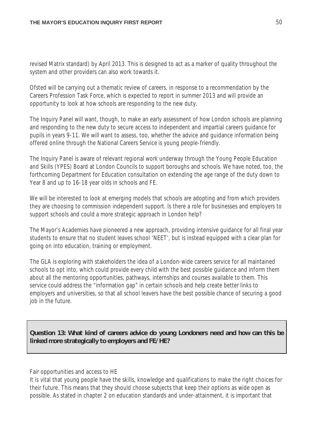revised Matrix standard) by April 2013. This is designed to act as a marker of quality throughout the system and other providers can also work towards it.

Ofsted will be carrying out a thematic review of careers, in response to a recommendation by the Careers Profession Task Force, which is expected to report in summer 2013 and will provide an opportunity to look at how schools are responding to the new duty.

The Inquiry Panel will want, though, to make an early assessment of how London schools are planning and responding to the new duty to secure access to independent and impartial careers guidance for pupils in years 9-11. We will want to assess, too, whether the advice and guidance information being offered online through the National Careers Service is young people-friendly.

The Inquiry Panel is aware of relevant regional work underway through the Young People Education and Skills (YPES) Board at London Councils to support boroughs and schools. We have noted, too, the forthcoming Department for Education consultation on extending the age range of the duty down to Year 8 and up to 16-18 year olds in schools and FE.

We will be interested to look at emerging models that schools are adopting and from which providers they are choosing to commission independent support. Is there a role for businesses and employers to support schools and could a more strategic approach in London help?

The Mayor's Academies have pioneered a new approach, providing intensive guidance for all final year students to ensure that no student leaves school 'NEET', but is instead equipped with a clear plan for going on into education, training or employment.

The GLA is exploring with stakeholders the idea of a London-wide careers service for all maintained schools to opt into, which could provide every child with the best possible guidance and inform them about all the mentoring opportunities, pathways, internships and courses available to them. This service could address the "information gap" in certain schools and help create better links to employers and universities, so that all school leavers have the best possible chance of securing a good job in the future.

**Question 13: What kind of careers advice do young Londoners need and how can this be linked more strategically to employers and FE/HE?**

Fair opportunities and access to HE

It is vital that young people have the skills, knowledge and qualifications to make the right choices for their future. This means that they should choose subjects that keep their options as wide open as possible. As stated in chapter 2 on education standards and under-attainment, it is important that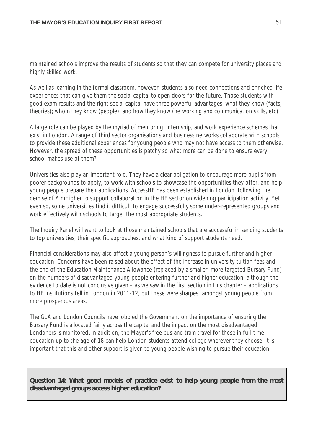maintained schools improve the results of students so that they can compete for university places and highly skilled work.

As well as learning in the formal classroom, however, students also need connections and enriched life experiences that can give them the social capital to open doors for the future. Those students with good exam results and the right social capital have three powerful advantages: *what they know* (facts, theories); *whom they know* (people); and *how they know* (networking and communication skills, etc).

A large role can be played by the myriad of mentoring, internship, and work experience schemes that exist in London. A range of third sector organisations and business networks collaborate with schools to provide these additional experiences for young people who may not have access to them otherwise. However, the spread of these opportunities is patchy so what more can be done to ensure every school makes use of them?

Universities also play an important role. They have a clear obligation to encourage more pupils from poorer backgrounds to apply, to work with schools to showcase the opportunities they offer, and help young people prepare their applications. AccessHE has been established in London*,* following the demise of AimHigher to support collaboration in the HE sector on widening participation activity. Yet even so, some universities find it difficult to engage successfully some under-represented groups and work effectively with schools to target the most appropriate students.

The Inquiry Panel will want to look at those maintained schools that are successful in sending students to top universities, their specific approaches, and what kind of support students need.

Financial considerations may also affect a young person's willingness to pursue further and higher education. Concerns have been raised about the effect of the increase in university tuition fees and the end of the Education Maintenance Allowance (replaced by a smaller, more targeted Bursary Fund) on the numbers of disadvantaged young people entering further and higher education, although the evidence to date is not conclusive given – as we saw in the first section in this chapter – applications to HE institutions fell in London in 2011-12, but these were sharpest amongst young people from more prosperous areas.

The GLA and London Councils have lobbied the Government on the importance of ensuring the Bursary Fund is allocated fairly across the capital and the impact on the most disadvantaged Londoners is monitored**.** In addition, the Mayor's free bus and tram travel for those in full-time education up to the age of 18 can help London students attend college wherever they choose. It is important that this and other support is given to young people wishing to pursue their education.

**Question 14: What good models of practice exist to help young people from the most disadvantaged groups access higher education?**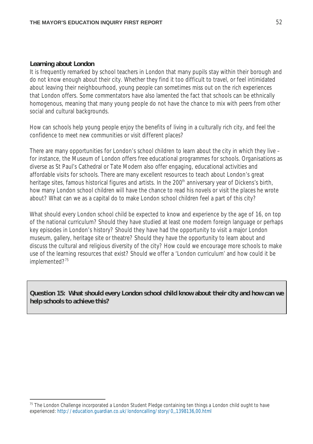#### **Learning about London**

 $\overline{a}$ 

It is frequently remarked by school teachers in London that many pupils stay within their borough and do not know enough about their city. Whether they find it too difficult to travel, or feel intimidated about leaving their neighbourhood, young people can sometimes miss out on the rich experiences that London offers. Some commentators have also lamented the fact that schools can be ethnically homogenous, meaning that many young people do not have the chance to mix with peers from other social and cultural backgrounds.

How can schools help young people enjoy the benefits of living in a culturally rich city, and feel the confidence to meet new communities or visit different places?

There are many opportunities for London's school children to learn about the city in which they live – for instance, the Museum of London offers free educational programmes for schools. Organisations as diverse as St Paul's Cathedral or Tate Modern also offer engaging, educational activities and affordable visits for schools. There are many excellent resources to teach about London's great heritage sites, famous historical figures and artists. In the 200<sup>th</sup> anniversary year of Dickens's birth, how many London school children will have the chance to read his novels or visit the places he wrote about? What can we as a capital do to make London school children feel a part of this city?

What should every London school child be expected to know and experience by the age of 16, on top of the national curriculum? Should they have studied at least one modern foreign language or perhaps key episodes in London's history? Should they have had the opportunity to visit a major London museum, gallery, heritage site or theatre? Should they have the opportunity to learn about and discuss the cultural and religious diversity of the city? How could we encourage more schools to make use of the learning resources that exist? Should we offer a 'London curriculum' and how could it be implemented?<sup>75</sup>

**Question 15: What should every London school child know about their city and how can we help schools to achieve this?**

<sup>&</sup>lt;sup>75</sup> The London Challenge incorporated a London Student Pledge containing ten things a London child ought to have experienced: http://education.guardian.co.uk/londoncalling/story/0,,1398136,00.html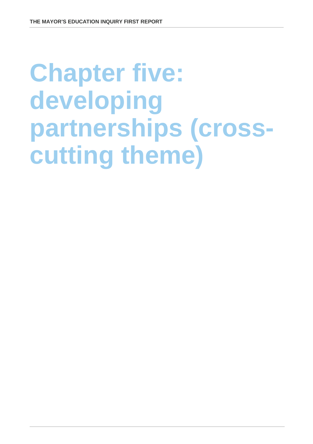# **Chapter five: developing partnerships (crosscutting theme)**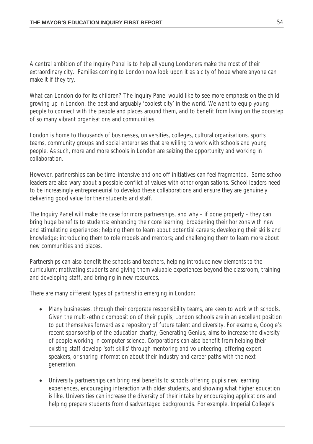A central ambition of the Inquiry Panel is to help all young Londoners make the most of their extraordinary city. Families coming to London now look upon it as a city of hope where anyone can make it if they try.

What can London do for its children? The Inquiry Panel would like to see more emphasis on the child growing up in London, the best and arguably 'coolest city' in the world. We want to equip young people to connect with the people and places around them, and to benefit from living on the doorstep of so many vibrant organisations and communities.

London is home to thousands of businesses, universities, colleges, cultural organisations, sports teams, community groups and social enterprises that are willing to work with schools and young people. As such, more and more schools in London are seizing the opportunity and working in collaboration.

However, partnerships can be time-intensive and one off initiatives can feel fragmented. Some school leaders are also wary about a possible conflict of values with other organisations. School leaders need to be increasingly entrepreneurial to develop these collaborations and ensure they are genuinely delivering good value for their students and staff.

The Inquiry Panel will make the case for more partnerships, and why – if done properly – they can bring huge benefits to students: enhancing their core learning; broadening their horizons with new and stimulating experiences; helping them to learn about potential careers; developing their skills and knowledge; introducing them to role models and mentors; and challenging them to learn more about new communities and places.

Partnerships can also benefit the schools and teachers, helping introduce new elements to the curriculum; motivating students and giving them valuable experiences beyond the classroom, training and developing staff, and bringing in new resources.

There are many different types of partnership emerging in London:

- Many businesses, through their corporate responsibility teams, are keen to work with schools. Given the multi-ethnic composition of their pupils, London schools are in an excellent position to put themselves forward as a repository of future talent and diversity. For example, Google's recent sponsorship of the education charity, Generating Genius, aims to increase the diversity of people working in computer science. Corporations can also benefit from helping their existing staff develop 'soft skills' through mentoring and volunteering, offering expert speakers, or sharing information about their industry and career paths with the next generation.
- University partnerships can bring real benefits to schools offering pupils new learning experiences, encouraging interaction with older students, and showing what higher education is like. Universities can increase the diversity of their intake by encouraging applications and helping prepare students from disadvantaged backgrounds. For example, Imperial College's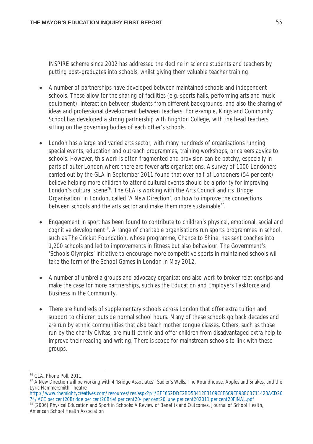INSPIRE scheme since 2002 has addressed the decline in science students and teachers by putting post-graduates into schools, whilst giving them valuable teacher training.

- A number of partnerships have developed between maintained schools and independent schools. These allow for the sharing of facilities (e.g. sports halls, performing arts and music equipment), interaction between students from different backgrounds, and also the sharing of ideas and professional development between teachers. For example, Kingsland Community School has developed a strong partnership with Brighton College, with the head teachers sitting on the governing bodies of each other's schools.
- London has a large and varied arts sector, with many hundreds of organisations running special events, education and outreach programmes, training workshops, or careers advice to schools. However, this work is often fragmented and provision can be patchy, especially in parts of outer London where there are fewer arts organisations. A survey of 1000 Londoners carried out by the GLA in September 2011 found that over half of Londoners (54 per cent) believe helping more children to attend cultural events should be a priority for improving London's cultural scene<sup>76</sup>. The GLA is working with the Arts Council and its 'Bridge Organisation' in London, called 'A New Direction', on how to improve the connections between schools and the arts sector and make them more sustainable<sup>77</sup>.
- Engagement in sport has been found to contribute to children's physical, emotional, social and cognitive development<sup>78</sup>. A range of charitable organisations run sports programmes in school, such as The Cricket Foundation, whose programme, Chance to Shine, has sent coaches into 1,200 schools and led to improvements in fitness but also behaviour. The Government's 'Schools Olympics' initiative to encourage more competitive sports in maintained schools will take the form of the School Games in London in May 2012.
- A number of umbrella groups and advocacy organisations also work to broker relationships and make the case for more partnerships, such as the Education and Employers Taskforce and Business in the Community.
- There are hundreds of supplementary schools across London that offer extra tuition and support to children outside normal school hours. Many of these schools go back decades and are run by ethnic communities that also teach mother tongue classes. Others, such as those run by the charity Civitas, are multi-ethnic and offer children from disadvantaged extra help to improve their reading and writing. There is scope for mainstream schools to link with these groups.

http://www.themightycreatives.com/resources/res.aspx?p=/3FF662DDE2BD53412E3109C8F6C9EF98ECB711423ACD20 74/ACE per cent20Bridge per cent20Brief per cent20- per cent20June per cent202011 per cent20FINAL.pdf

j <sup>76</sup> GLA, Phone Poll, 2011.

<sup>77</sup> A New Direction will be working with 4 'Bridge Associates': Sadler's Wells, The Roundhouse, Apples and Snakes, and the Lyric Hammersmith Theatre

<sup>78</sup> (2006) Physical Education and Sport in Schools: A Review of Benefits and Outcomes, Journal of School Health, American School Health Association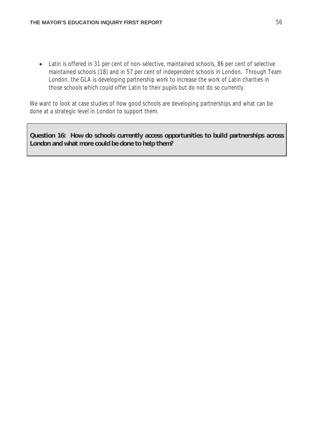• Latin is offered in 31 per cent of non-selective, maintained schools, 86 per cent of selective maintained schools (18) and in 57 per cent of independent schools in London. Through Team London, the GLA is developing partnership work to increase the work of Latin charities in those schools which could offer Latin to their pupils but do not do so currently.

We want to look at case studies of how good schools are developing partnerships and what can be done at a strategic level in London to support them.

**Question 16: How do schools currently access opportunities to build partnerships across London and what more could be done to help them?**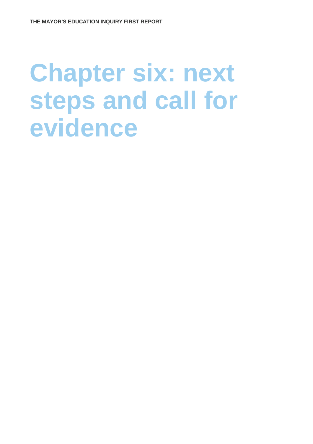## **Chapter six: next steps and call for evidence**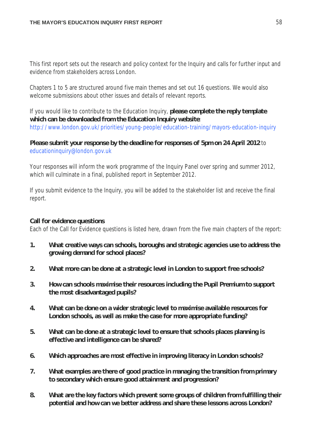This first report sets out the research and policy context for the Inquiry and calls for further input and evidence from stakeholders across London.

Chapters 1 to 5 are structured around five main themes and set out 16 questions. We would also welcome submissions about other issues and details of relevant reports.

If you would like to contribute to the Education Inquiry, **please complete the reply template which can be downloaded from the Education Inquiry website**: http://www.london.gov.uk/priorities/young-people/education-training/mayors-education-inquiry

## **Please submit your response by the deadline for responses of 5pm on 24 April 2012** to educationinquiry@london.gov.uk

Your responses will inform the work programme of the Inquiry Panel over spring and summer 2012, which will culminate in a final, published report in September 2012.

If you submit evidence to the Inquiry, you will be added to the stakeholder list and receive the final report.

## **Call for evidence questions**

Each of the Call for Evidence questions is listed here, drawn from the five main chapters of the report:

- **1. What creative ways can schools, boroughs and strategic agencies use to address the growing demand for school places?**
- **2. What more can be done at a strategic level in London to support free schools?**
- **3. How can schools maximise their resources including the Pupil Premium to support the most disadvantaged pupils?**
- **4. What can be done on a wider strategic level to maximise available resources for London schools, as well as make the case for more appropriate funding?**
- **5. What can be done at a strategic level to ensure that schools places planning is effective and intelligence can be shared?**
- **6. Which approaches are most effective in improving literacy in London schools?**
- **7. What examples are there of good practice in managing the transition from primary to secondary which ensure good attainment and progression?**
- **8. What are the key factors which prevent some groups of children from fulfilling their potential and how can we better address and share these lessons across London?**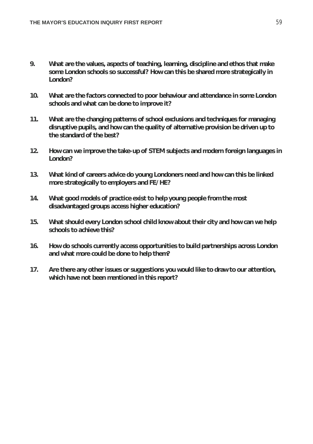- **9. What are the values, aspects of teaching, learning, discipline and ethos that make some London schools so successful? How can this be shared more strategically in London?**
- **10. What are the factors connected to poor behaviour and attendance in some London schools and what can be done to improve it?**
- **11. What are the changing patterns of school exclusions and techniques for managing disruptive pupils, and how can the quality of alternative provision be driven up to the standard of the best?**
- **12. How can we improve the take-up of STEM subjects and modern foreign languages in London?**
- **13. What kind of careers advice do young Londoners need and how can this be linked more strategically to employers and FE/HE?**
- **14. What good models of practice exist to help young people from the most disadvantaged groups access higher education?**
- **15. What should every London school child know about their city and how can we help schools to achieve this?**
- **16. How do schools currently access opportunities to build partnerships across London and what more could be done to help them?**
- **17. Are there any other issues or suggestions you would like to draw to our attention, which have not been mentioned in this report?**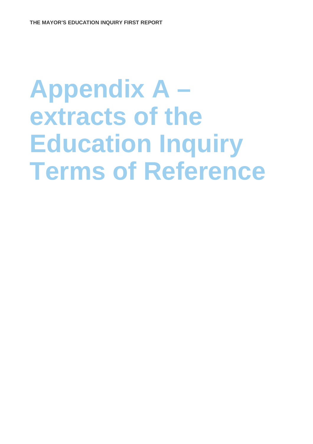## **Appendix A –** extracts of the **Education Inquiry Terms of Reference**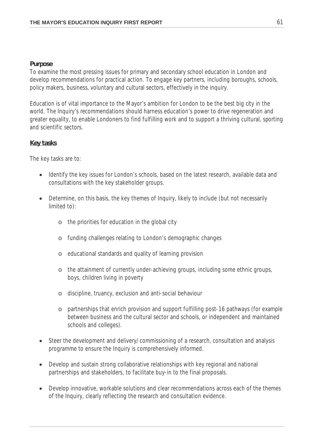## **Purpose**

To examine the most pressing issues for primary and secondary school education in London and develop recommendations for practical action. To engage key partners, including boroughs, schools, policy makers, business, voluntary and cultural sectors, effectively in the inquiry.

Education is of vital importance to the Mayor's ambition for London to be the best big city in the world. The Inquiry's recommendations should harness education's power to drive regeneration and greater equality, to enable Londoners to find fulfilling work and to support a thriving cultural, sporting and scientific sectors.

## **Key tasks**

The key tasks are to:

- Identify the key issues for London's schools, based on the latest research, available data and consultations with the key stakeholder groups.
- Determine, on this basis, the key themes of Inquiry, likely to include (but not necessarily limited to):
	- o the priorities for education in the global city
	- o funding challenges relating to London's demographic changes
	- o educational standards and quality of learning provision
	- o the attainment of currently under-achieving groups, including some ethnic groups, boys, children living in poverty
	- o discipline, truancy, exclusion and anti-social behaviour
	- o partnerships that enrich provision and support fulfilling post-16 pathways (for example between business and the cultural sector and schools, or independent and maintained schools and colleges).
- Steer the development and delivery/commissioning of a research, consultation and analysis programme to ensure the Inquiry is comprehensively informed.
- Develop and sustain strong collaborative relationships with key regional and national partnerships and stakeholders, to facilitate buy-in to the final proposals.
- Develop innovative, workable solutions and clear recommendations across each of the themes of the Inquiry, clearly reflecting the research and consultation evidence.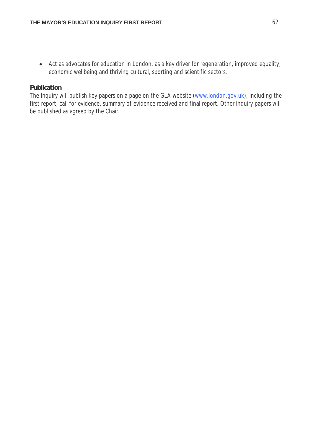Act as advocates for education in London, as a key driver for regeneration, improved equality, economic wellbeing and thriving cultural, sporting and scientific sectors.

## **Publication**

The Inquiry will publish key papers on a page on the GLA website (www.london.gov.uk), including the first report, call for evidence, summary of evidence received and final report. Other Inquiry papers will be published as agreed by the Chair.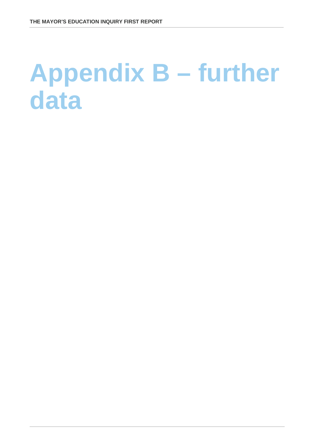## **Appendix B – further data**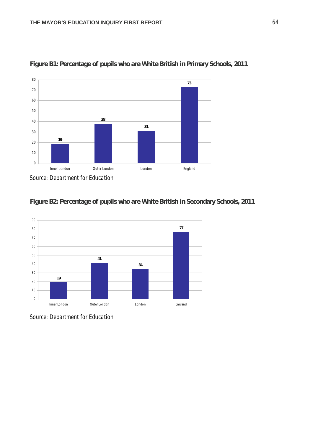

**Figure B1: Percentage of pupils who are White British in Primary Schools, 2011**







*Source: Department for Education*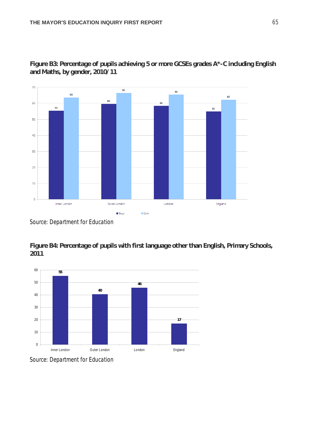

**Figure B3: Percentage of pupils achieving 5 or more GCSEs grades A\*-C including English and Maths, by gender, 2010/11** 

*Source: Department for Education*

**Figure B4: Percentage of pupils with first language other than English, Primary Schools,**  



*Source: Department for Education*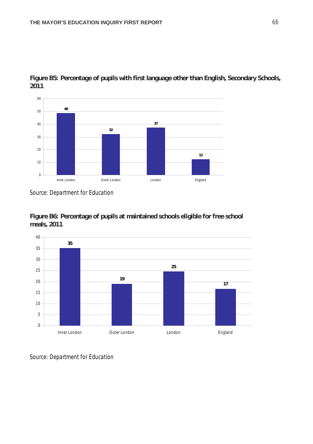

**Figure B5: Percentage of pupils with first language other than English, Secondary Schools,**  

*Source: Department for Education*





*Source: Department for Education*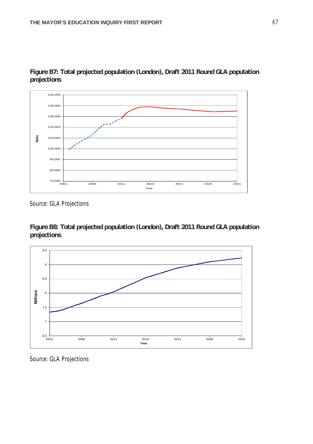

## **Figure B7: Total projected population (London), Draft 2011 Round GLA population projections**

*Source: GLA Projections*

**Figure B8: Total projected population (London), Draft 2011 Round GLA population projections**



*Source: GLA Projections*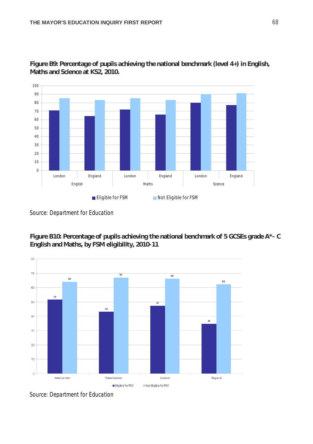

**Figure B9: Percentage of pupils achieving the national benchmark (level 4+) in English, Maths and Science at KS2, 2010.**

**Figure B10: Percentage of pupils achieving the national benchmark of 5 GCSEs grade A\*- C English and Maths, by FSM eligibility, 2010-11**



*Source: Department for Education*

*Source: Department for Education*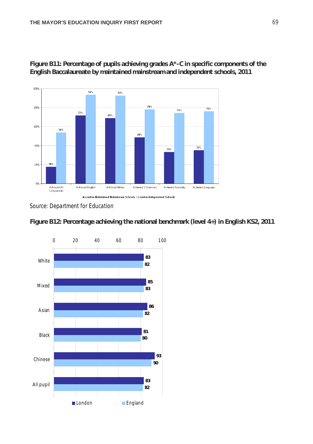

**Figure B11: Percentage of pupils achieving grades A\*-C in specific components of the English Baccalaureate by maintained mainstream and independent schools, 2011**

*Source: Department for Education*



**Figure B12: Percentage achieving the national benchmark (level 4+) in English KS2, 2011**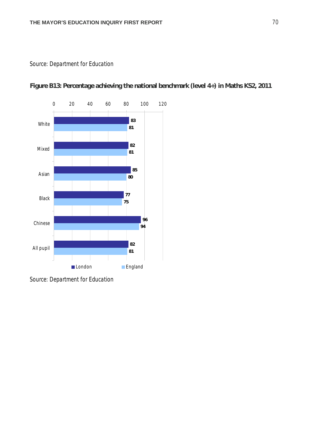

**Figure B13: Percentage achieving the national benchmark (level 4+) in Maths KS2, 2011**

*Source: Department for Education*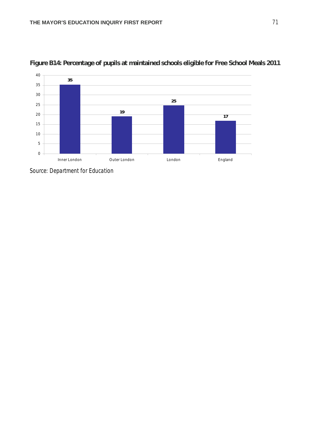



*Source: Department for Education*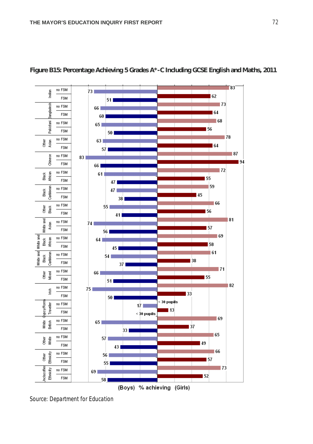



*Source: Department for Education*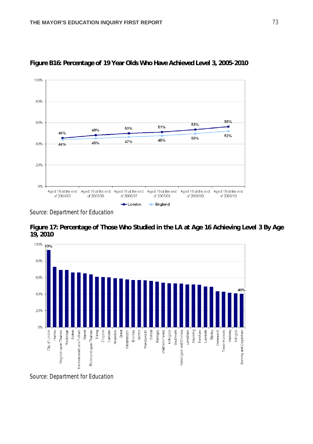

**Figure B16: Percentage of 19 Year Olds Who Have Achieved Level 3, 2005-2010**

*Source: Department for Education*





*Source: Department for Education*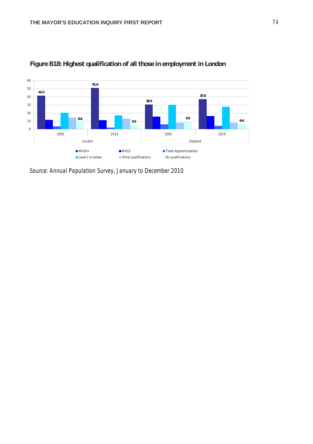

### **Figure B18: Highest qualification of all those in employment in London**

*Source: Annual Population Survey, January to December 2010*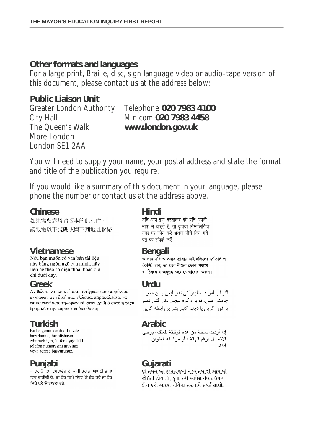### **Other formats and languages**

For a large print, Braille, disc, sign language video or audio-tape version of this document, please contact us at the address below:

## **Public Liaison Unit**

The Queen's Walk **www.london.gov.uk** More London London SE1 2AA

# Greater London Authority Telephone **020 7983 4100** City Hall Minicom **020 7983 4458**

You will need to supply your name, your postal address and state the format and title of the publication you require.

If you would like a summary of this document in your language, please phone the number or contact us at the address above.

**Chinese Hindi** 如果需要您母語版本的此文件, 請致電以下號碼或與下列地址聯絡

này bằng ngôn ngữ của mình, hãy liên hê theo số điên thoại hoặc địa chỉ dưới đây.

**Greek Urdu** εγγράφου στη δική σας γλώσσα, παρακαλείστε να επικοινωνήσετε τηλεφωνικά στον αριθμό αυτό ή ταχυδρομικά στην παρακάτω διεύθυνση.

hazırlanmış bir nüshasını edinmek için, lütfen aşağıdaki telefon numarasını arayınız veva adrese basvurunuz.

**Punjabi Gujarati**ਵਿਚ ਚਾਹੀਦੀ ਹੈ, ਤਾਂ ਹੇਠ ਲਿਖੇ ਨੰਬਰ 'ਤੇ ਫ਼ੋਨ ਕਰੋ ਜਾਂ ਹੇਠ ਲਿਖੇ ਪਤੇ 'ਤੇ ਰਾਬਤਾ ਕਰੋ:

भाषा में चाहते हैं, तो कृपया निम्नलिखित नंबर पर फोन करें अथवा नीचे दिये गये पते पर संपर्क करें

**Vietnamese Bengali** (কপি) চান, তা হলে নীচের ফোন নম্বরে বা ঠিকানায় অনুগ্রহ করে যোগাযোগ করুন।

چاھتے ھیں، تو براہ کرم نیچے دئے گئے نمبر پر فون کریں یا دیئے گئے پتے پر رابطه کریں

```
Turkish Arabic
              الاتصال بر قم الهاتف أو مر اسلة العنو ان
                             أدناه
```
જો તમને આ દસ્તાવેજની નકલ તમારી ભાષામાં જોઇતી હોય તો. કપા કરી આપેલ નંબર ઉપર કોન કરો અથવા નીચેના સરનામે સંપર્ક સાઘો.